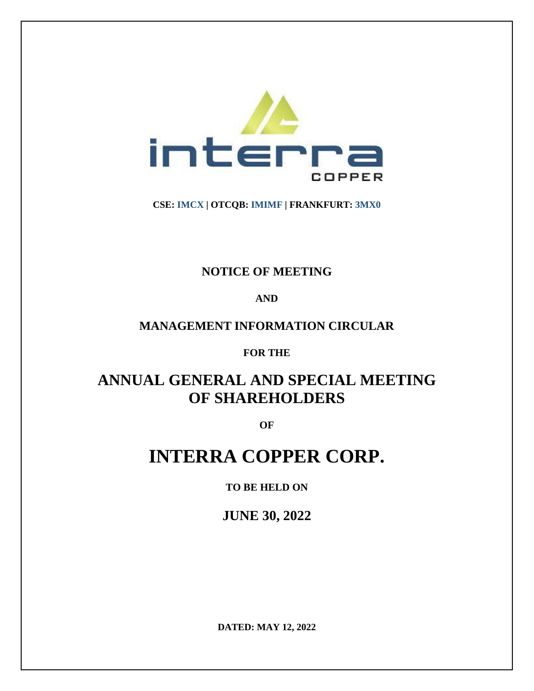

**CSE: IMCX | OTCQB: IMIMF | FRANKFURT: 3MX0**

# **NOTICE OF MEETING**

# **AND**

# **MANAGEMENT INFORMATION CIRCULAR**

# **FOR THE**

# **ANNUAL GENERAL AND SPECIAL MEETING OF SHAREHOLDERS**

**OF**

# **INTERRA COPPER CORP.**

# **TO BE HELD ON**

**JUNE 30, 2022**

**DATED: MAY 12, 2022**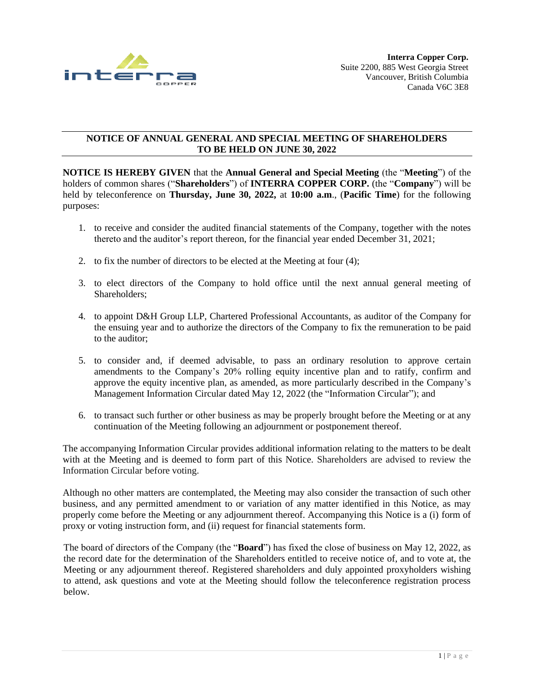

# **NOTICE OF ANNUAL GENERAL AND SPECIAL MEETING OF SHAREHOLDERS TO BE HELD ON JUNE 30, 2022**

**NOTICE IS HEREBY GIVEN** that the **Annual General and Special Meeting** (the "**Meeting**") of the holders of common shares ("**Shareholders**") of **INTERRA COPPER CORP.** (the "**Company**") will be held by teleconference on **Thursday, June 30, 2022,** at **10:00 a.m**., (**Pacific Time**) for the following purposes:

- 1. to receive and consider the audited financial statements of the Company, together with the notes thereto and the auditor's report thereon, for the financial year ended December 31, 2021;
- 2. to fix the number of directors to be elected at the Meeting at four (4);
- 3. to elect directors of the Company to hold office until the next annual general meeting of Shareholders;
- 4. to appoint D&H Group LLP, Chartered Professional Accountants, as auditor of the Company for the ensuing year and to authorize the directors of the Company to fix the remuneration to be paid to the auditor;
- 5. to consider and, if deemed advisable, to pass an ordinary resolution to approve certain amendments to the Company's 20% rolling equity incentive plan and to ratify, confirm and approve the equity incentive plan, as amended, as more particularly described in the Company's Management Information Circular dated May 12, 2022 (the "Information Circular"); and
- 6. to transact such further or other business as may be properly brought before the Meeting or at any continuation of the Meeting following an adjournment or postponement thereof.

The accompanying Information Circular provides additional information relating to the matters to be dealt with at the Meeting and is deemed to form part of this Notice. Shareholders are advised to review the Information Circular before voting.

Although no other matters are contemplated, the Meeting may also consider the transaction of such other business, and any permitted amendment to or variation of any matter identified in this Notice, as may properly come before the Meeting or any adjournment thereof. Accompanying this Notice is a (i) form of proxy or voting instruction form, and (ii) request for financial statements form.

The board of directors of the Company (the "**Board**") has fixed the close of business on May 12, 2022, as the record date for the determination of the Shareholders entitled to receive notice of, and to vote at, the Meeting or any adjournment thereof. Registered shareholders and duly appointed proxyholders wishing to attend, ask questions and vote at the Meeting should follow the teleconference registration process below.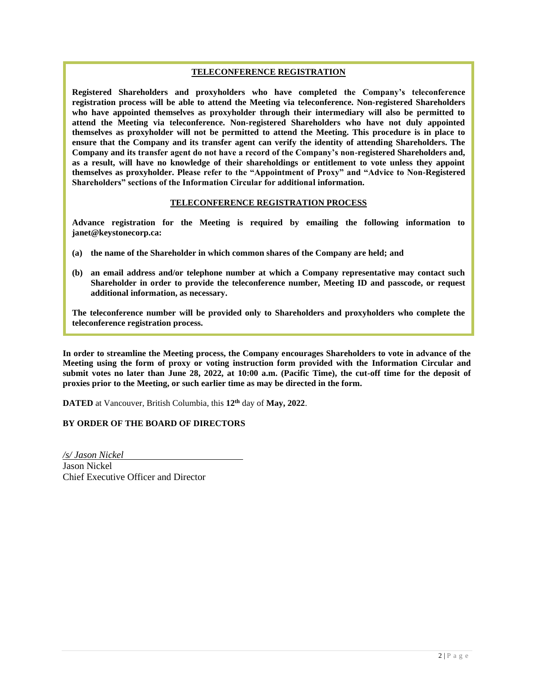#### **TELECONFERENCE REGISTRATION**

**Registered Shareholders and proxyholders who have completed the Company's teleconference registration process will be able to attend the Meeting via teleconference. Non-registered Shareholders who have appointed themselves as proxyholder through their intermediary will also be permitted to attend the Meeting via teleconference. Non-registered Shareholders who have not duly appointed themselves as proxyholder will not be permitted to attend the Meeting. This procedure is in place to ensure that the Company and its transfer agent can verify the identity of attending Shareholders. The Company and its transfer agent do not have a record of the Company's non-registered Shareholders and, as a result, will have no knowledge of their shareholdings or entitlement to vote unless they appoint themselves as proxyholder. Please refer to the "Appointment of Proxy" and "Advice to Non-Registered Shareholders" sections of the Information Circular for additional information.**

#### **TELECONFERENCE REGISTRATION PROCESS**

**Advance registration for the Meeting is required by emailing the following information to janet@keystonecorp.ca:** 

- **(a) the name of the Shareholder in which common shares of the Company are held; and**
- **(b) an email address and/or telephone number at which a Company representative may contact such Shareholder in order to provide the teleconference number, Meeting ID and passcode, or request additional information, as necessary.**

**The teleconference number will be provided only to Shareholders and proxyholders who complete the teleconference registration process.**

**In order to streamline the Meeting process, the Company encourages Shareholders to vote in advance of the Meeting using the form of proxy or voting instruction form provided with the Information Circular and submit votes no later than June 28, 2022, at 10:00 a.m. (Pacific Time), the cut-off time for the deposit of proxies prior to the Meeting, or such earlier time as may be directed in the form.**

**DATED** at Vancouver, British Columbia, this **12th** day of **May, 2022**.

#### **BY ORDER OF THE BOARD OF DIRECTORS**

*/s/ Jason Nickel* Jason Nickel Chief Executive Officer and Director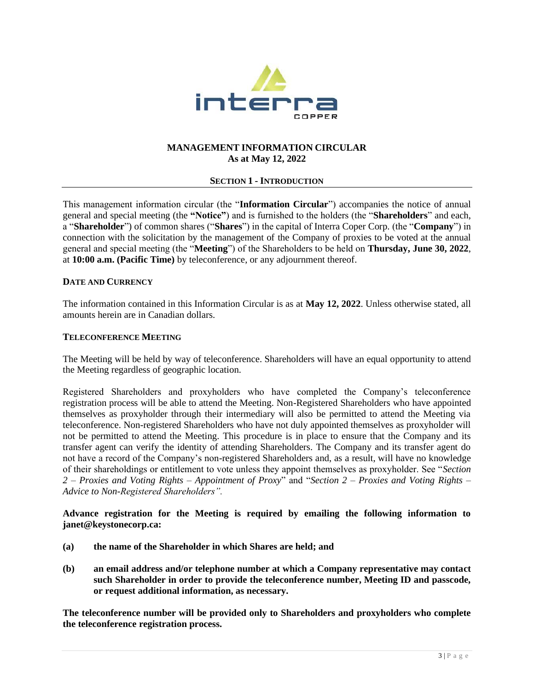

# **MANAGEMENT INFORMATION CIRCULAR As at May 12, 2022**

#### **SECTION 1 - INTRODUCTION**

This management information circular (the "**Information Circular**") accompanies the notice of annual general and special meeting (the **"Notice"**) and is furnished to the holders (the "**Shareholders**" and each, a "**Shareholder**") of common shares ("**Shares**") in the capital of Interra Coper Corp. (the "**Company**") in connection with the solicitation by the management of the Company of proxies to be voted at the annual general and special meeting (the "**Meeting**") of the Shareholders to be held on **Thursday, June 30, 2022**, at **10:00 a.m. (Pacific Time)** by teleconference, or any adjournment thereof.

#### **DATE AND CURRENCY**

The information contained in this Information Circular is as at **May 12, 2022**. Unless otherwise stated, all amounts herein are in Canadian dollars.

#### **TELECONFERENCE MEETING**

The Meeting will be held by way of teleconference. Shareholders will have an equal opportunity to attend the Meeting regardless of geographic location.

Registered Shareholders and proxyholders who have completed the Company's teleconference registration process will be able to attend the Meeting. Non-Registered Shareholders who have appointed themselves as proxyholder through their intermediary will also be permitted to attend the Meeting via teleconference. Non-registered Shareholders who have not duly appointed themselves as proxyholder will not be permitted to attend the Meeting. This procedure is in place to ensure that the Company and its transfer agent can verify the identity of attending Shareholders. The Company and its transfer agent do not have a record of the Company's non-registered Shareholders and, as a result, will have no knowledge of their shareholdings or entitlement to vote unless they appoint themselves as proxyholder. See "*Section 2 – Proxies and Voting Rights – Appointment of Proxy*" and "*Section 2 – Proxies and Voting Rights – Advice to Non-Registered Shareholders".*

**Advance registration for the Meeting is required by emailing the following information to janet@keystonecorp.ca:** 

- **(a) the name of the Shareholder in which Shares are held; and**
- **(b) an email address and/or telephone number at which a Company representative may contact such Shareholder in order to provide the teleconference number, Meeting ID and passcode, or request additional information, as necessary.**

**The teleconference number will be provided only to Shareholders and proxyholders who complete the teleconference registration process.**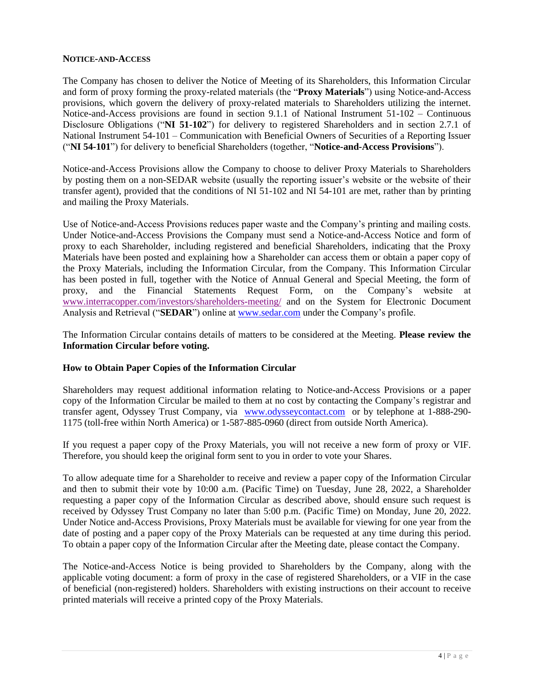#### **NOTICE-AND-ACCESS**

The Company has chosen to deliver the Notice of Meeting of its Shareholders, this Information Circular and form of proxy forming the proxy-related materials (the "**Proxy Materials**") using Notice-and-Access provisions, which govern the delivery of proxy-related materials to Shareholders utilizing the internet. Notice-and-Access provisions are found in section 9.1.1 of National Instrument 51-102 – Continuous Disclosure Obligations ("**NI 51-102**") for delivery to registered Shareholders and in section 2.7.1 of National Instrument 54-101 – Communication with Beneficial Owners of Securities of a Reporting Issuer ("**NI 54-101**") for delivery to beneficial Shareholders (together, "**Notice-and-Access Provisions**").

Notice-and-Access Provisions allow the Company to choose to deliver Proxy Materials to Shareholders by posting them on a non-SEDAR website (usually the reporting issuer's website or the website of their transfer agent), provided that the conditions of NI 51-102 and NI 54-101 are met, rather than by printing and mailing the Proxy Materials.

Use of Notice-and-Access Provisions reduces paper waste and the Company's printing and mailing costs. Under Notice-and-Access Provisions the Company must send a Notice-and-Access Notice and form of proxy to each Shareholder, including registered and beneficial Shareholders, indicating that the Proxy Materials have been posted and explaining how a Shareholder can access them or obtain a paper copy of the Proxy Materials, including the Information Circular, from the Company. This Information Circular has been posted in full, together with the Notice of Annual General and Special Meeting, the form of proxy, and the Financial Statements Request Form, on the Company's website at [www.interracopper.com/investors/shareholders-meeting/](http://www.interracopper.com/investors/shareholders-meeting/) and on the System for Electronic Document Analysis and Retrieval ("**SEDAR**") online at [www.sedar.com](http://www.sedar.com/) under the Company's profile.

The Information Circular contains details of matters to be considered at the Meeting. **Please review the Information Circular before voting.**

# **How to Obtain Paper Copies of the Information Circular**

Shareholders may request additional information relating to Notice-and-Access Provisions or a paper copy of the Information Circular be mailed to them at no cost by contacting the Company's registrar and transfer agent, Odyssey Trust Company, via [www.odysseycontact.com](http://www.odysseycontact.com/) or by telephone at 1-888-290- 1175 (toll-free within North America) or 1-587-885-0960 (direct from outside North America).

If you request a paper copy of the Proxy Materials, you will not receive a new form of proxy or VIF. Therefore, you should keep the original form sent to you in order to vote your Shares.

To allow adequate time for a Shareholder to receive and review a paper copy of the Information Circular and then to submit their vote by 10:00 a.m. (Pacific Time) on Tuesday, June 28, 2022, a Shareholder requesting a paper copy of the Information Circular as described above, should ensure such request is received by Odyssey Trust Company no later than 5:00 p.m. (Pacific Time) on Monday, June 20, 2022. Under Notice and-Access Provisions, Proxy Materials must be available for viewing for one year from the date of posting and a paper copy of the Proxy Materials can be requested at any time during this period. To obtain a paper copy of the Information Circular after the Meeting date, please contact the Company.

The Notice-and-Access Notice is being provided to Shareholders by the Company, along with the applicable voting document: a form of proxy in the case of registered Shareholders, or a VIF in the case of beneficial (non-registered) holders. Shareholders with existing instructions on their account to receive printed materials will receive a printed copy of the Proxy Materials.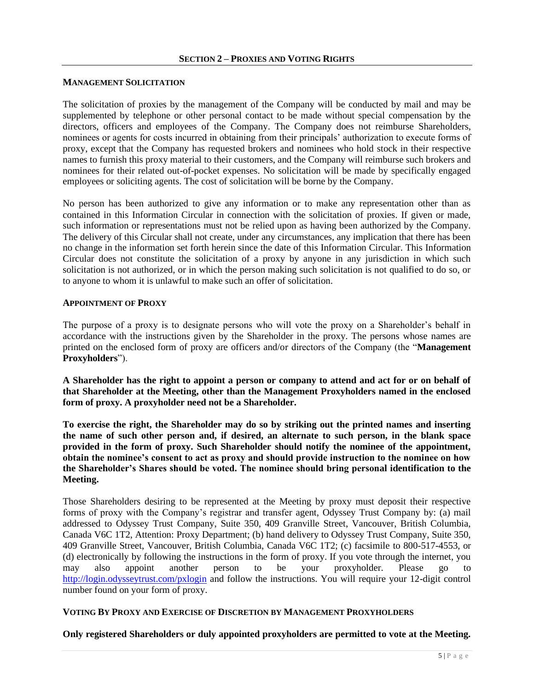#### **MANAGEMENT SOLICITATION**

The solicitation of proxies by the management of the Company will be conducted by mail and may be supplemented by telephone or other personal contact to be made without special compensation by the directors, officers and employees of the Company. The Company does not reimburse Shareholders, nominees or agents for costs incurred in obtaining from their principals' authorization to execute forms of proxy, except that the Company has requested brokers and nominees who hold stock in their respective names to furnish this proxy material to their customers, and the Company will reimburse such brokers and nominees for their related out-of-pocket expenses. No solicitation will be made by specifically engaged employees or soliciting agents. The cost of solicitation will be borne by the Company.

No person has been authorized to give any information or to make any representation other than as contained in this Information Circular in connection with the solicitation of proxies. If given or made, such information or representations must not be relied upon as having been authorized by the Company. The delivery of this Circular shall not create, under any circumstances, any implication that there has been no change in the information set forth herein since the date of this Information Circular. This Information Circular does not constitute the solicitation of a proxy by anyone in any jurisdiction in which such solicitation is not authorized, or in which the person making such solicitation is not qualified to do so, or to anyone to whom it is unlawful to make such an offer of solicitation.

#### **APPOINTMENT OF PROXY**

The purpose of a proxy is to designate persons who will vote the proxy on a Shareholder's behalf in accordance with the instructions given by the Shareholder in the proxy. The persons whose names are printed on the enclosed form of proxy are officers and/or directors of the Company (the "**Management Proxyholders**").

**A Shareholder has the right to appoint a person or company to attend and act for or on behalf of that Shareholder at the Meeting, other than the Management Proxyholders named in the enclosed form of proxy. A proxyholder need not be a Shareholder.**

**To exercise the right, the Shareholder may do so by striking out the printed names and inserting the name of such other person and, if desired, an alternate to such person, in the blank space provided in the form of proxy. Such Shareholder should notify the nominee of the appointment, obtain the nominee's consent to act as proxy and should provide instruction to the nominee on how the Shareholder's Shares should be voted. The nominee should bring personal identification to the Meeting.**

Those Shareholders desiring to be represented at the Meeting by proxy must deposit their respective forms of proxy with the Company's registrar and transfer agent, Odyssey Trust Company by: (a) mail addressed to Odyssey Trust Company, Suite 350, 409 Granville Street, Vancouver, British Columbia, Canada V6C 1T2, Attention: Proxy Department; (b) hand delivery to Odyssey Trust Company, Suite 350, 409 Granville Street, Vancouver, British Columbia, Canada V6C 1T2; (c) facsimile to 800-517-4553, or (d) electronically by following the instructions in the form of proxy. If you vote through the internet, you may also appoint another person to be your proxyholder. Please go to <http://login.odysseytrust.com/pxlogin> and follow the instructions. You will require your 12-digit control number found on your form of proxy.

# **VOTING BY PROXY AND EXERCISE OF DISCRETION BY MANAGEMENT PROXYHOLDERS**

#### **Only registered Shareholders or duly appointed proxyholders are permitted to vote at the Meeting.**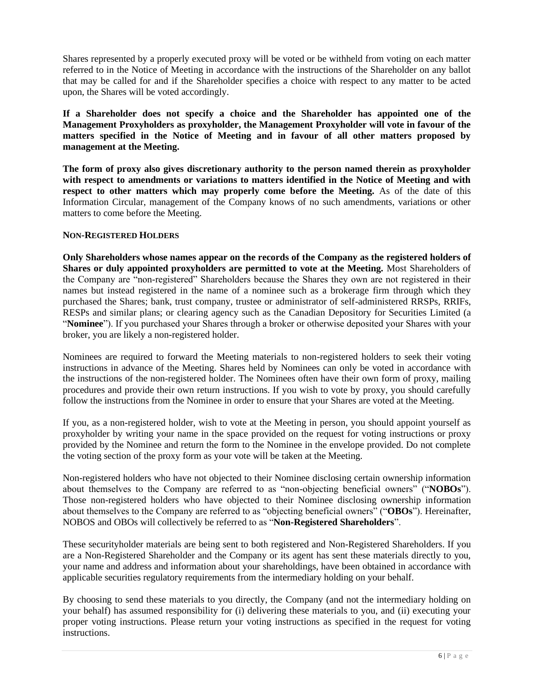Shares represented by a properly executed proxy will be voted or be withheld from voting on each matter referred to in the Notice of Meeting in accordance with the instructions of the Shareholder on any ballot that may be called for and if the Shareholder specifies a choice with respect to any matter to be acted upon, the Shares will be voted accordingly.

**If a Shareholder does not specify a choice and the Shareholder has appointed one of the Management Proxyholders as proxyholder, the Management Proxyholder will vote in favour of the matters specified in the Notice of Meeting and in favour of all other matters proposed by management at the Meeting.** 

**The form of proxy also gives discretionary authority to the person named therein as proxyholder with respect to amendments or variations to matters identified in the Notice of Meeting and with respect to other matters which may properly come before the Meeting.** As of the date of this Information Circular, management of the Company knows of no such amendments, variations or other matters to come before the Meeting.

# **NON-REGISTERED HOLDERS**

**Only Shareholders whose names appear on the records of the Company as the registered holders of Shares or duly appointed proxyholders are permitted to vote at the Meeting.** Most Shareholders of the Company are "non-registered" Shareholders because the Shares they own are not registered in their names but instead registered in the name of a nominee such as a brokerage firm through which they purchased the Shares; bank, trust company, trustee or administrator of self-administered RRSPs, RRIFs, RESPs and similar plans; or clearing agency such as the Canadian Depository for Securities Limited (a "**Nominee**"). If you purchased your Shares through a broker or otherwise deposited your Shares with your broker, you are likely a non-registered holder.

Nominees are required to forward the Meeting materials to non-registered holders to seek their voting instructions in advance of the Meeting. Shares held by Nominees can only be voted in accordance with the instructions of the non-registered holder. The Nominees often have their own form of proxy, mailing procedures and provide their own return instructions. If you wish to vote by proxy, you should carefully follow the instructions from the Nominee in order to ensure that your Shares are voted at the Meeting.

If you, as a non-registered holder, wish to vote at the Meeting in person, you should appoint yourself as proxyholder by writing your name in the space provided on the request for voting instructions or proxy provided by the Nominee and return the form to the Nominee in the envelope provided. Do not complete the voting section of the proxy form as your vote will be taken at the Meeting.

Non-registered holders who have not objected to their Nominee disclosing certain ownership information about themselves to the Company are referred to as "non-objecting beneficial owners" ("**NOBOs**"). Those non-registered holders who have objected to their Nominee disclosing ownership information about themselves to the Company are referred to as "objecting beneficial owners" ("**OBOs**"). Hereinafter, NOBOS and OBOs will collectively be referred to as "**Non-Registered Shareholders**".

These securityholder materials are being sent to both registered and Non-Registered Shareholders. If you are a Non-Registered Shareholder and the Company or its agent has sent these materials directly to you, your name and address and information about your shareholdings, have been obtained in accordance with applicable securities regulatory requirements from the intermediary holding on your behalf.

By choosing to send these materials to you directly, the Company (and not the intermediary holding on your behalf) has assumed responsibility for (i) delivering these materials to you, and (ii) executing your proper voting instructions. Please return your voting instructions as specified in the request for voting instructions.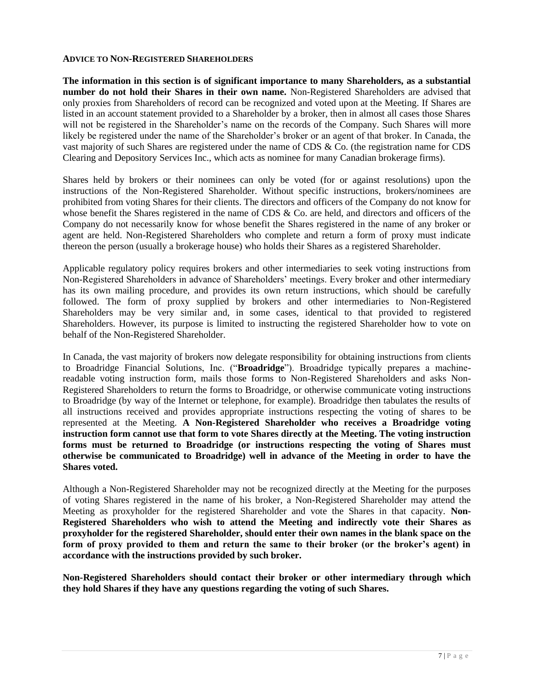#### **ADVICE TO NON-REGISTERED SHAREHOLDERS**

**The information in this section is of significant importance to many Shareholders, as a substantial number do not hold their Shares in their own name.** Non-Registered Shareholders are advised that only proxies from Shareholders of record can be recognized and voted upon at the Meeting. If Shares are listed in an account statement provided to a Shareholder by a broker, then in almost all cases those Shares will not be registered in the Shareholder's name on the records of the Company. Such Shares will more likely be registered under the name of the Shareholder's broker or an agent of that broker. In Canada, the vast majority of such Shares are registered under the name of CDS & Co. (the registration name for CDS Clearing and Depository Services Inc., which acts as nominee for many Canadian brokerage firms).

Shares held by brokers or their nominees can only be voted (for or against resolutions) upon the instructions of the Non-Registered Shareholder. Without specific instructions, brokers/nominees are prohibited from voting Shares for their clients. The directors and officers of the Company do not know for whose benefit the Shares registered in the name of CDS & Co. are held, and directors and officers of the Company do not necessarily know for whose benefit the Shares registered in the name of any broker or agent are held. Non-Registered Shareholders who complete and return a form of proxy must indicate thereon the person (usually a brokerage house) who holds their Shares as a registered Shareholder.

Applicable regulatory policy requires brokers and other intermediaries to seek voting instructions from Non-Registered Shareholders in advance of Shareholders' meetings. Every broker and other intermediary has its own mailing procedure, and provides its own return instructions, which should be carefully followed. The form of proxy supplied by brokers and other intermediaries to Non-Registered Shareholders may be very similar and, in some cases, identical to that provided to registered Shareholders. However, its purpose is limited to instructing the registered Shareholder how to vote on behalf of the Non-Registered Shareholder.

In Canada, the vast majority of brokers now delegate responsibility for obtaining instructions from clients to Broadridge Financial Solutions, Inc. ("**Broadridge**"). Broadridge typically prepares a machinereadable voting instruction form, mails those forms to Non-Registered Shareholders and asks Non-Registered Shareholders to return the forms to Broadridge, or otherwise communicate voting instructions to Broadridge (by way of the Internet or telephone, for example). Broadridge then tabulates the results of all instructions received and provides appropriate instructions respecting the voting of shares to be represented at the Meeting. **A Non-Registered Shareholder who receives a Broadridge voting instruction form cannot use that form to vote Shares directly at the Meeting. The voting instruction forms must be returned to Broadridge (or instructions respecting the voting of Shares must otherwise be communicated to Broadridge) well in advance of the Meeting in order to have the Shares voted.**

Although a Non-Registered Shareholder may not be recognized directly at the Meeting for the purposes of voting Shares registered in the name of his broker, a Non-Registered Shareholder may attend the Meeting as proxyholder for the registered Shareholder and vote the Shares in that capacity. **Non-Registered Shareholders who wish to attend the Meeting and indirectly vote their Shares as proxyholder for the registered Shareholder, should enter their own names in the blank space on the form of proxy provided to them and return the same to their broker (or the broker's agent) in accordance with the instructions provided by such broker.** 

**Non-Registered Shareholders should contact their broker or other intermediary through which they hold Shares if they have any questions regarding the voting of such Shares.**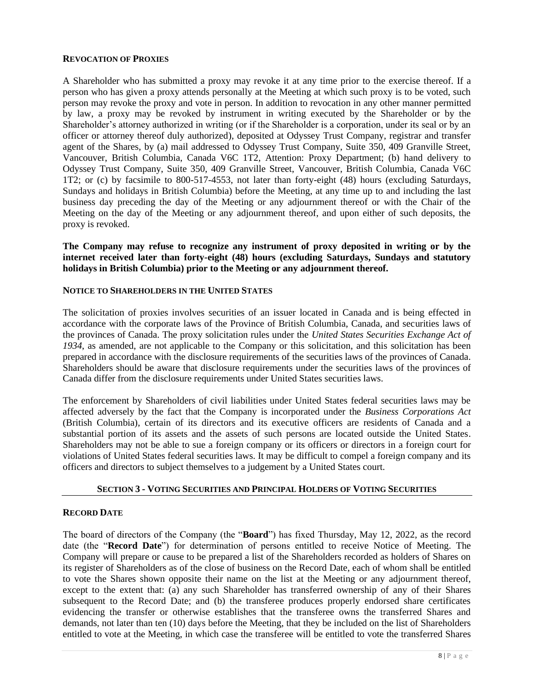#### **REVOCATION OF PROXIES**

A Shareholder who has submitted a proxy may revoke it at any time prior to the exercise thereof. If a person who has given a proxy attends personally at the Meeting at which such proxy is to be voted, such person may revoke the proxy and vote in person. In addition to revocation in any other manner permitted by law, a proxy may be revoked by instrument in writing executed by the Shareholder or by the Shareholder's attorney authorized in writing (or if the Shareholder is a corporation, under its seal or by an officer or attorney thereof duly authorized), deposited at Odyssey Trust Company, registrar and transfer agent of the Shares, by (a) mail addressed to Odyssey Trust Company, Suite 350, 409 Granville Street, Vancouver, British Columbia, Canada V6C 1T2, Attention: Proxy Department; (b) hand delivery to Odyssey Trust Company, Suite 350, 409 Granville Street, Vancouver, British Columbia, Canada V6C 1T2; or (c) by facsimile to 800-517-4553, not later than forty-eight (48) hours (excluding Saturdays, Sundays and holidays in British Columbia) before the Meeting, at any time up to and including the last business day preceding the day of the Meeting or any adjournment thereof or with the Chair of the Meeting on the day of the Meeting or any adjournment thereof, and upon either of such deposits, the proxy is revoked.

**The Company may refuse to recognize any instrument of proxy deposited in writing or by the internet received later than forty-eight (48) hours (excluding Saturdays, Sundays and statutory holidays in British Columbia) prior to the Meeting or any adjournment thereof.**

#### **NOTICE TO SHAREHOLDERS IN THE UNITED STATES**

The solicitation of proxies involves securities of an issuer located in Canada and is being effected in accordance with the corporate laws of the Province of British Columbia, Canada, and securities laws of the provinces of Canada. The proxy solicitation rules under the *United States Securities Exchange Act of 1934*, as amended, are not applicable to the Company or this solicitation, and this solicitation has been prepared in accordance with the disclosure requirements of the securities laws of the provinces of Canada. Shareholders should be aware that disclosure requirements under the securities laws of the provinces of Canada differ from the disclosure requirements under United States securities laws.

The enforcement by Shareholders of civil liabilities under United States federal securities laws may be affected adversely by the fact that the Company is incorporated under the *Business Corporations Act* (British Columbia), certain of its directors and its executive officers are residents of Canada and a substantial portion of its assets and the assets of such persons are located outside the United States. Shareholders may not be able to sue a foreign company or its officers or directors in a foreign court for violations of United States federal securities laws. It may be difficult to compel a foreign company and its officers and directors to subject themselves to a judgement by a United States court.

# **SECTION 3 - VOTING SECURITIES AND PRINCIPAL HOLDERS OF VOTING SECURITIES**

#### **RECORD DATE**

The board of directors of the Company (the "**Board**") has fixed Thursday, May 12, 2022, as the record date (the "**Record Date**") for determination of persons entitled to receive Notice of Meeting. The Company will prepare or cause to be prepared a list of the Shareholders recorded as holders of Shares on its register of Shareholders as of the close of business on the Record Date, each of whom shall be entitled to vote the Shares shown opposite their name on the list at the Meeting or any adjournment thereof, except to the extent that: (a) any such Shareholder has transferred ownership of any of their Shares subsequent to the Record Date; and (b) the transferee produces properly endorsed share certificates evidencing the transfer or otherwise establishes that the transferee owns the transferred Shares and demands, not later than ten (10) days before the Meeting, that they be included on the list of Shareholders entitled to vote at the Meeting, in which case the transferee will be entitled to vote the transferred Shares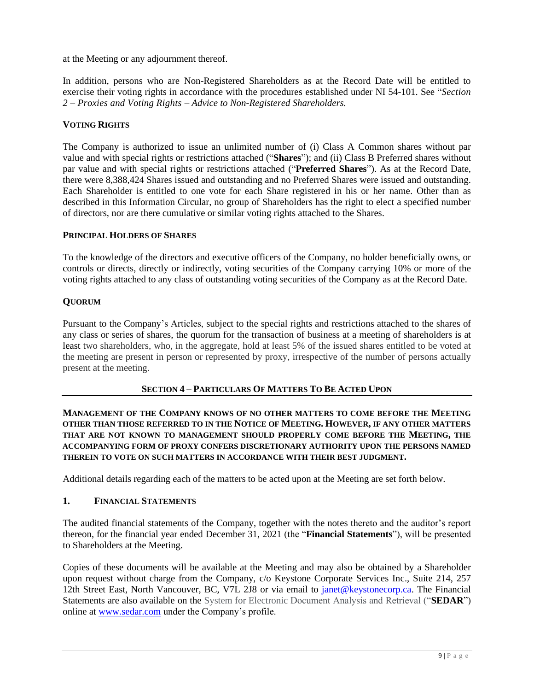at the Meeting or any adjournment thereof.

In addition, persons who are Non-Registered Shareholders as at the Record Date will be entitled to exercise their voting rights in accordance with the procedures established under NI 54-101. See "*Section 2 – Proxies and Voting Rights – Advice to Non-Registered Shareholders.*

# **VOTING RIGHTS**

The Company is authorized to issue an unlimited number of (i) Class A Common shares without par value and with special rights or restrictions attached ("**Shares**"); and (ii) Class B Preferred shares without par value and with special rights or restrictions attached ("**Preferred Shares**"). As at the Record Date, there were 8,388,424 Shares issued and outstanding and no Preferred Shares were issued and outstanding. Each Shareholder is entitled to one vote for each Share registered in his or her name. Other than as described in this Information Circular, no group of Shareholders has the right to elect a specified number of directors, nor are there cumulative or similar voting rights attached to the Shares.

# **PRINCIPAL HOLDERS OF SHARES**

To the knowledge of the directors and executive officers of the Company, no holder beneficially owns, or controls or directs, directly or indirectly, voting securities of the Company carrying 10% or more of the voting rights attached to any class of outstanding voting securities of the Company as at the Record Date.

# **QUORUM**

Pursuant to the Company's Articles, subject to the special rights and restrictions attached to the shares of any class or series of shares, the quorum for the transaction of business at a meeting of shareholders is at least two shareholders, who, in the aggregate, hold at least 5% of the issued shares entitled to be voted at the meeting are present in person or represented by proxy, irrespective of the number of persons actually present at the meeting.

# **SECTION 4 – PARTICULARS OF MATTERS TO BE ACTED UPON**

**MANAGEMENT OF THE COMPANY KNOWS OF NO OTHER MATTERS TO COME BEFORE THE MEETING OTHER THAN THOSE REFERRED TO IN THE NOTICE OF MEETING. HOWEVER, IF ANY OTHER MATTERS THAT ARE NOT KNOWN TO MANAGEMENT SHOULD PROPERLY COME BEFORE THE MEETING, THE ACCOMPANYING FORM OF PROXY CONFERS DISCRETIONARY AUTHORITY UPON THE PERSONS NAMED THEREIN TO VOTE ON SUCH MATTERS IN ACCORDANCE WITH THEIR BEST JUDGMENT.**

Additional details regarding each of the matters to be acted upon at the Meeting are set forth below.

# **1. FINANCIAL STATEMENTS**

The audited financial statements of the Company, together with the notes thereto and the auditor's report thereon, for the financial year ended December 31, 2021 (the "**Financial Statements**"), will be presented to Shareholders at the Meeting.

Copies of these documents will be available at the Meeting and may also be obtained by a Shareholder upon request without charge from the Company, c/o Keystone Corporate Services Inc., Suite 214, 257 12th Street East, North Vancouver, BC, V7L 2J8 or via email to [janet@keystonecorp.ca.](mailto:janet@keystonecorp.ca) The Financial Statements are also available on the System for Electronic Document Analysis and Retrieval ("**SEDAR**") online at [www.sedar.com](http://www.sedar.com/) under the Company's profile.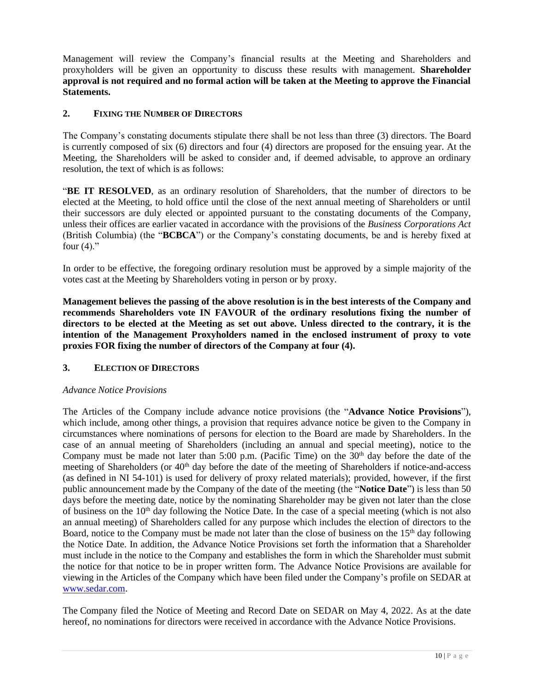Management will review the Company's financial results at the Meeting and Shareholders and proxyholders will be given an opportunity to discuss these results with management. **Shareholder approval is not required and no formal action will be taken at the Meeting to approve the Financial Statements.** 

# **2. FIXING THE NUMBER OF DIRECTORS**

The Company's constating documents stipulate there shall be not less than three (3) directors. The Board is currently composed of six (6) directors and four (4) directors are proposed for the ensuing year. At the Meeting, the Shareholders will be asked to consider and, if deemed advisable, to approve an ordinary resolution, the text of which is as follows:

"**BE IT RESOLVED**, as an ordinary resolution of Shareholders, that the number of directors to be elected at the Meeting, to hold office until the close of the next annual meeting of Shareholders or until their successors are duly elected or appointed pursuant to the constating documents of the Company, unless their offices are earlier vacated in accordance with the provisions of the *Business Corporations Act*  (British Columbia) (the "**BCBCA**") or the Company's constating documents, be and is hereby fixed at four  $(4)$ ."

In order to be effective, the foregoing ordinary resolution must be approved by a simple majority of the votes cast at the Meeting by Shareholders voting in person or by proxy.

**Management believes the passing of the above resolution is in the best interests of the Company and recommends Shareholders vote IN FAVOUR of the ordinary resolutions fixing the number of directors to be elected at the Meeting as set out above. Unless directed to the contrary, it is the intention of the Management Proxyholders named in the enclosed instrument of proxy to vote proxies FOR fixing the number of directors of the Company at four (4).**

# **3. ELECTION OF DIRECTORS**

# *Advance Notice Provisions*

The Articles of the Company include advance notice provisions (the "**Advance Notice Provisions**"), which include, among other things, a provision that requires advance notice be given to the Company in circumstances where nominations of persons for election to the Board are made by Shareholders. In the case of an annual meeting of Shareholders (including an annual and special meeting), notice to the Company must be made not later than  $5:00$  p.m. (Pacific Time) on the  $30<sup>th</sup>$  day before the date of the meeting of Shareholders (or 40<sup>th</sup> day before the date of the meeting of Shareholders if notice-and-access (as defined in NI 54-101) is used for delivery of proxy related materials); provided, however, if the first public announcement made by the Company of the date of the meeting (the "**Notice Date**") is less than 50 days before the meeting date, notice by the nominating Shareholder may be given not later than the close of business on the  $10<sup>th</sup>$  day following the Notice Date. In the case of a special meeting (which is not also an annual meeting) of Shareholders called for any purpose which includes the election of directors to the Board, notice to the Company must be made not later than the close of business on the 15<sup>th</sup> day following the Notice Date. In addition, the Advance Notice Provisions set forth the information that a Shareholder must include in the notice to the Company and establishes the form in which the Shareholder must submit the notice for that notice to be in proper written form. The Advance Notice Provisions are available for viewing in the Articles of the Company which have been filed under the Company's profile on SEDAR at [www.sedar.com.](http://www.sedar.com/)

The Company filed the Notice of Meeting and Record Date on SEDAR on May 4, 2022. As at the date hereof, no nominations for directors were received in accordance with the Advance Notice Provisions.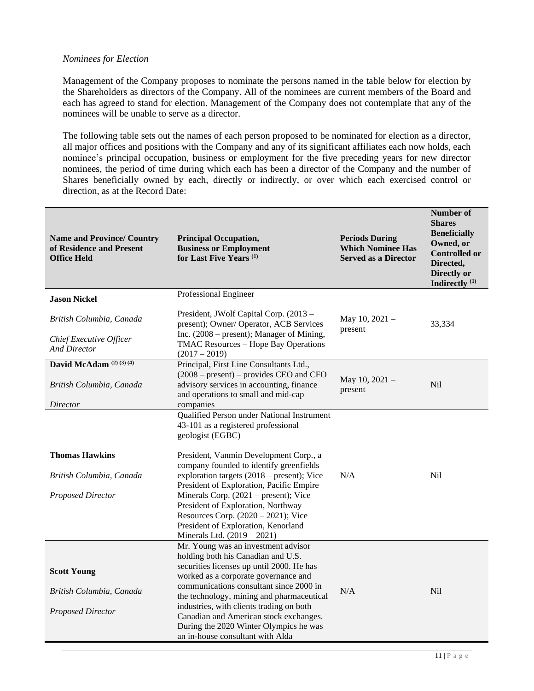# *Nominees for Election*

Management of the Company proposes to nominate the persons named in the table below for election by the Shareholders as directors of the Company. All of the nominees are current members of the Board and each has agreed to stand for election. Management of the Company does not contemplate that any of the nominees will be unable to serve as a director.

The following table sets out the names of each person proposed to be nominated for election as a director, all major offices and positions with the Company and any of its significant affiliates each now holds, each nominee's principal occupation, business or employment for the five preceding years for new director nominees, the period of time during which each has been a director of the Company and the number of Shares beneficially owned by each, directly or indirectly, or over which each exercised control or direction, as at the Record Date:

| <b>Name and Province/ Country</b><br>of Residence and Present<br><b>Office Held</b> | <b>Principal Occupation,</b><br><b>Business or Employment</b><br>for Last Five Years <sup>(1)</sup>                          | <b>Periods During</b><br><b>Which Nominee Has</b><br><b>Served as a Director</b> | <b>Number of</b><br><b>Shares</b><br><b>Beneficially</b><br>Owned, or<br><b>Controlled or</b><br>Directed,<br>Directly or<br>Indirectly <sup>(1)</sup> |
|-------------------------------------------------------------------------------------|------------------------------------------------------------------------------------------------------------------------------|----------------------------------------------------------------------------------|--------------------------------------------------------------------------------------------------------------------------------------------------------|
| <b>Jason Nickel</b>                                                                 | Professional Engineer                                                                                                        |                                                                                  |                                                                                                                                                        |
| British Columbia, Canada                                                            | President, JWolf Capital Corp. (2013 -<br>present); Owner/ Operator, ACB Services                                            | May 10, 2021 -<br>present                                                        | 33,334                                                                                                                                                 |
| Chief Executive Officer<br><b>And Director</b>                                      | Inc. $(2008 - present)$ ; Manager of Mining,<br>TMAC Resources - Hope Bay Operations<br>$(2017 - 2019)$                      |                                                                                  |                                                                                                                                                        |
| David McAdam <sup>(2)(3)(4)</sup>                                                   | Principal, First Line Consultants Ltd.,                                                                                      |                                                                                  |                                                                                                                                                        |
| British Columbia, Canada                                                            | $(2008 - present)$ – provides CEO and CFO<br>advisory services in accounting, finance<br>and operations to small and mid-cap | May 10, 2021 -<br>present                                                        | <b>Nil</b>                                                                                                                                             |
| Director                                                                            | companies                                                                                                                    |                                                                                  |                                                                                                                                                        |
|                                                                                     | Qualified Person under National Instrument<br>43-101 as a registered professional<br>geologist (EGBC)                        |                                                                                  |                                                                                                                                                        |
| <b>Thomas Hawkins</b>                                                               | President, Vanmin Development Corp., a<br>company founded to identify greenfields                                            |                                                                                  |                                                                                                                                                        |
| British Columbia, Canada                                                            | exploration targets $(2018 - present)$ ; Vice<br>President of Exploration, Pacific Empire                                    | N/A                                                                              | N <sub>il</sub>                                                                                                                                        |
| <b>Proposed Director</b>                                                            | Minerals Corp. $(2021 - present)$ ; Vice                                                                                     |                                                                                  |                                                                                                                                                        |
|                                                                                     | President of Exploration, Northway                                                                                           |                                                                                  |                                                                                                                                                        |
|                                                                                     | Resources Corp. $(2020 - 2021)$ ; Vice                                                                                       |                                                                                  |                                                                                                                                                        |
|                                                                                     | President of Exploration, Kenorland<br>Minerals Ltd. (2019 - 2021)                                                           |                                                                                  |                                                                                                                                                        |
|                                                                                     | Mr. Young was an investment advisor<br>holding both his Canadian and U.S.                                                    |                                                                                  |                                                                                                                                                        |
|                                                                                     | securities licenses up until 2000. He has                                                                                    |                                                                                  |                                                                                                                                                        |
| <b>Scott Young</b>                                                                  | worked as a corporate governance and                                                                                         |                                                                                  |                                                                                                                                                        |
| British Columbia, Canada                                                            | communications consultant since 2000 in                                                                                      | N/A                                                                              | N <sub>il</sub>                                                                                                                                        |
|                                                                                     | the technology, mining and pharmaceutical                                                                                    |                                                                                  |                                                                                                                                                        |
| <b>Proposed Director</b>                                                            | industries, with clients trading on both                                                                                     |                                                                                  |                                                                                                                                                        |
|                                                                                     | Canadian and American stock exchanges.                                                                                       |                                                                                  |                                                                                                                                                        |
|                                                                                     | During the 2020 Winter Olympics he was                                                                                       |                                                                                  |                                                                                                                                                        |
|                                                                                     | an in-house consultant with Alda                                                                                             |                                                                                  |                                                                                                                                                        |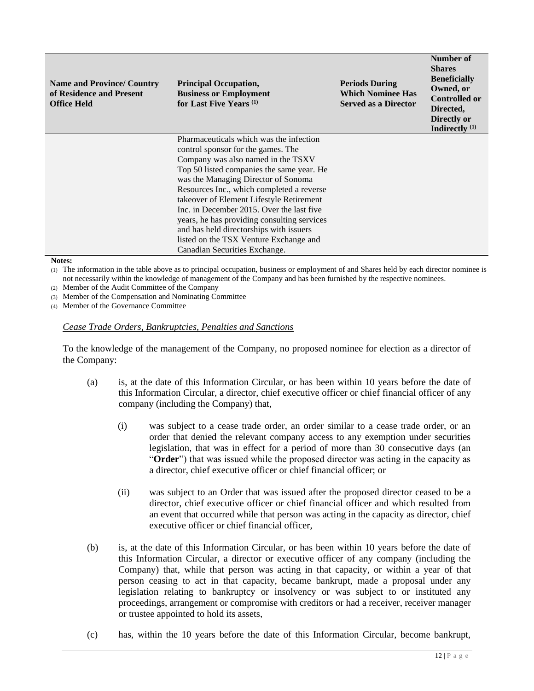| <b>Name and Province/ Country</b><br>of Residence and Present<br><b>Office Held</b> | <b>Principal Occupation,</b><br><b>Business or Employment</b><br>for Last Five Years <sup>(1)</sup> | <b>Periods During</b><br><b>Which Nominee Has</b><br><b>Served as a Director</b> | Number of<br><b>Shares</b><br><b>Beneficially</b><br>Owned, or<br><b>Controlled or</b><br>Directed,<br>Directly or<br>Indirectly $(1)$ |  |
|-------------------------------------------------------------------------------------|-----------------------------------------------------------------------------------------------------|----------------------------------------------------------------------------------|----------------------------------------------------------------------------------------------------------------------------------------|--|
|                                                                                     | Pharmaceuticals which was the infection                                                             |                                                                                  |                                                                                                                                        |  |
|                                                                                     | control sponsor for the games. The                                                                  |                                                                                  |                                                                                                                                        |  |
|                                                                                     | Company was also named in the TSXV                                                                  |                                                                                  |                                                                                                                                        |  |
|                                                                                     | Top 50 listed companies the same year. He                                                           |                                                                                  |                                                                                                                                        |  |
|                                                                                     | was the Managing Director of Sonoma                                                                 |                                                                                  |                                                                                                                                        |  |
|                                                                                     | Resources Inc., which completed a reverse                                                           |                                                                                  |                                                                                                                                        |  |
|                                                                                     | takeover of Element Lifestyle Retirement                                                            |                                                                                  |                                                                                                                                        |  |
|                                                                                     | Inc. in December 2015. Over the last five                                                           |                                                                                  |                                                                                                                                        |  |
|                                                                                     | years, he has providing consulting services                                                         |                                                                                  |                                                                                                                                        |  |
|                                                                                     | and has held directorships with issuers                                                             |                                                                                  |                                                                                                                                        |  |
|                                                                                     | listed on the TSX Venture Exchange and                                                              |                                                                                  |                                                                                                                                        |  |
|                                                                                     | Canadian Securities Exchange.                                                                       |                                                                                  |                                                                                                                                        |  |

#### **Notes:**

(1) The information in the table above as to principal occupation, business or employment of and Shares held by each director nominee is not necessarily within the knowledge of management of the Company and has been furnished by the respective nominees.

(2) Member of the Audit Committee of the Company

(3) Member of the Compensation and Nominating Committee

(4) Member of the Governance Committee

#### *Cease Trade Orders, Bankruptcies, Penalties and Sanctions*

To the knowledge of the management of the Company, no proposed nominee for election as a director of the Company:

- (a) is, at the date of this Information Circular, or has been within 10 years before the date of this Information Circular, a director, chief executive officer or chief financial officer of any company (including the Company) that,
	- (i) was subject to a cease trade order, an order similar to a cease trade order, or an order that denied the relevant company access to any exemption under securities legislation, that was in effect for a period of more than 30 consecutive days (an "**Order**") that was issued while the proposed director was acting in the capacity as a director, chief executive officer or chief financial officer; or
	- (ii) was subject to an Order that was issued after the proposed director ceased to be a director, chief executive officer or chief financial officer and which resulted from an event that occurred while that person was acting in the capacity as director, chief executive officer or chief financial officer,
- (b) is, at the date of this Information Circular, or has been within 10 years before the date of this Information Circular, a director or executive officer of any company (including the Company) that, while that person was acting in that capacity, or within a year of that person ceasing to act in that capacity, became bankrupt, made a proposal under any legislation relating to bankruptcy or insolvency or was subject to or instituted any proceedings, arrangement or compromise with creditors or had a receiver, receiver manager or trustee appointed to hold its assets,
- (c) has, within the 10 years before the date of this Information Circular, become bankrupt,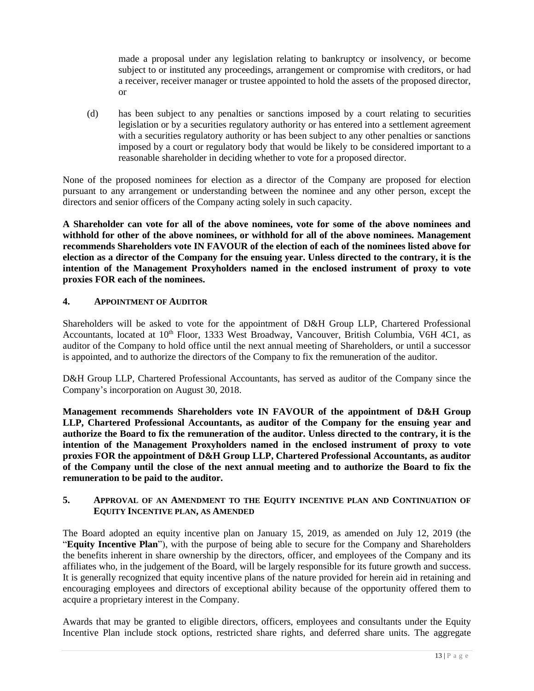made a proposal under any legislation relating to bankruptcy or insolvency, or become subject to or instituted any proceedings, arrangement or compromise with creditors, or had a receiver, receiver manager or trustee appointed to hold the assets of the proposed director, or

(d) has been subject to any penalties or sanctions imposed by a court relating to securities legislation or by a securities regulatory authority or has entered into a settlement agreement with a securities regulatory authority or has been subject to any other penalties or sanctions imposed by a court or regulatory body that would be likely to be considered important to a reasonable shareholder in deciding whether to vote for a proposed director.

None of the proposed nominees for election as a director of the Company are proposed for election pursuant to any arrangement or understanding between the nominee and any other person, except the directors and senior officers of the Company acting solely in such capacity.

**A Shareholder can vote for all of the above nominees, vote for some of the above nominees and withhold for other of the above nominees, or withhold for all of the above nominees. Management recommends Shareholders vote IN FAVOUR of the election of each of the nominees listed above for election as a director of the Company for the ensuing year. Unless directed to the contrary, it is the intention of the Management Proxyholders named in the enclosed instrument of proxy to vote proxies FOR each of the nominees.**

# **4. APPOINTMENT OF AUDITOR**

Shareholders will be asked to vote for the appointment of D&H Group LLP, Chartered Professional Accountants, located at 10<sup>th</sup> Floor, 1333 West Broadway, Vancouver, British Columbia, V6H 4C1, as auditor of the Company to hold office until the next annual meeting of Shareholders, or until a successor is appointed, and to authorize the directors of the Company to fix the remuneration of the auditor.

D&H Group LLP, Chartered Professional Accountants, has served as auditor of the Company since the Company's incorporation on August 30, 2018.

**Management recommends Shareholders vote IN FAVOUR of the appointment of D&H Group LLP, Chartered Professional Accountants, as auditor of the Company for the ensuing year and authorize the Board to fix the remuneration of the auditor. Unless directed to the contrary, it is the intention of the Management Proxyholders named in the enclosed instrument of proxy to vote proxies FOR the appointment of D&H Group LLP, Chartered Professional Accountants, as auditor of the Company until the close of the next annual meeting and to authorize the Board to fix the remuneration to be paid to the auditor.**

# **5. APPROVAL OF AN AMENDMENT TO THE EQUITY INCENTIVE PLAN AND CONTINUATION OF EQUITY INCENTIVE PLAN, AS AMENDED**

The Board adopted an equity incentive plan on January 15, 2019, as amended on July 12, 2019 (the "**Equity Incentive Plan**"), with the purpose of being able to secure for the Company and Shareholders the benefits inherent in share ownership by the directors, officer, and employees of the Company and its affiliates who, in the judgement of the Board, will be largely responsible for its future growth and success. It is generally recognized that equity incentive plans of the nature provided for herein aid in retaining and encouraging employees and directors of exceptional ability because of the opportunity offered them to acquire a proprietary interest in the Company.

Awards that may be granted to eligible directors, officers, employees and consultants under the Equity Incentive Plan include stock options, restricted share rights, and deferred share units. The aggregate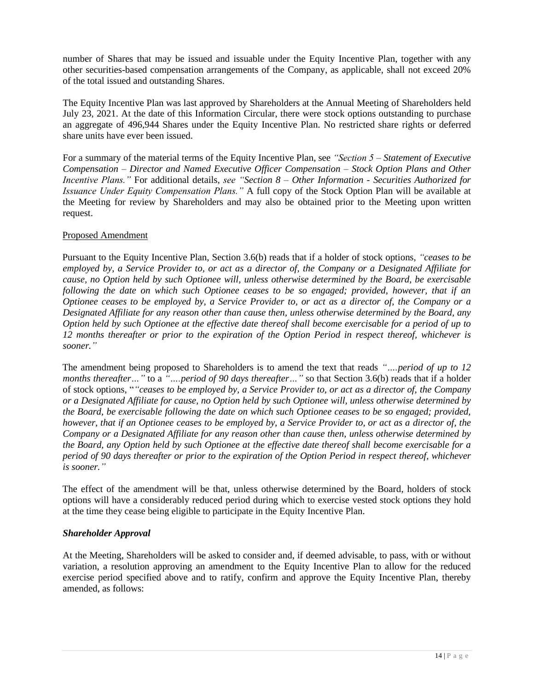number of Shares that may be issued and issuable under the Equity Incentive Plan, together with any other securities-based compensation arrangements of the Company, as applicable, shall not exceed 20% of the total issued and outstanding Shares.

The Equity Incentive Plan was last approved by Shareholders at the Annual Meeting of Shareholders held July 23, 2021. At the date of this Information Circular, there were stock options outstanding to purchase an aggregate of 496,944 Shares under the Equity Incentive Plan. No restricted share rights or deferred share units have ever been issued.

For a summary of the material terms of the Equity Incentive Plan, see *"Section 5 – Statement of Executive Compensation – Director and Named Executive Officer Compensation – Stock Option Plans and Other Incentive Plans."* For additional details, *see "Section 8 – Other Information - Securities Authorized for Issuance Under Equity Compensation Plans."* A full copy of the Stock Option Plan will be available at the Meeting for review by Shareholders and may also be obtained prior to the Meeting upon written request.

# Proposed Amendment

Pursuant to the Equity Incentive Plan, Section 3.6(b) reads that if a holder of stock options, *"ceases to be employed by, a Service Provider to, or act as a director of, the Company or a Designated Affiliate for cause, no Option held by such Optionee will, unless otherwise determined by the Board, be exercisable following the date on which such Optionee ceases to be so engaged; provided, however, that if an Optionee ceases to be employed by, a Service Provider to, or act as a director of, the Company or a Designated Affiliate for any reason other than cause then, unless otherwise determined by the Board, any Option held by such Optionee at the effective date thereof shall become exercisable for a period of up to 12 months thereafter or prior to the expiration of the Option Period in respect thereof, whichever is sooner."*

The amendment being proposed to Shareholders is to amend the text that reads *"….period of up to 12 months thereafter…"* to a *"….period of 90 days thereafter…"* so that Section 3.6(b) reads that if a holder of stock options, "*"ceases to be employed by, a Service Provider to, or act as a director of, the Company or a Designated Affiliate for cause, no Option held by such Optionee will, unless otherwise determined by the Board, be exercisable following the date on which such Optionee ceases to be so engaged; provided, however, that if an Optionee ceases to be employed by, a Service Provider to, or act as a director of, the Company or a Designated Affiliate for any reason other than cause then, unless otherwise determined by the Board, any Option held by such Optionee at the effective date thereof shall become exercisable for a period of 90 days thereafter or prior to the expiration of the Option Period in respect thereof, whichever is sooner."*

The effect of the amendment will be that, unless otherwise determined by the Board, holders of stock options will have a considerably reduced period during which to exercise vested stock options they hold at the time they cease being eligible to participate in the Equity Incentive Plan.

# *Shareholder Approval*

At the Meeting, Shareholders will be asked to consider and, if deemed advisable, to pass, with or without variation, a resolution approving an amendment to the Equity Incentive Plan to allow for the reduced exercise period specified above and to ratify, confirm and approve the Equity Incentive Plan, thereby amended, as follows: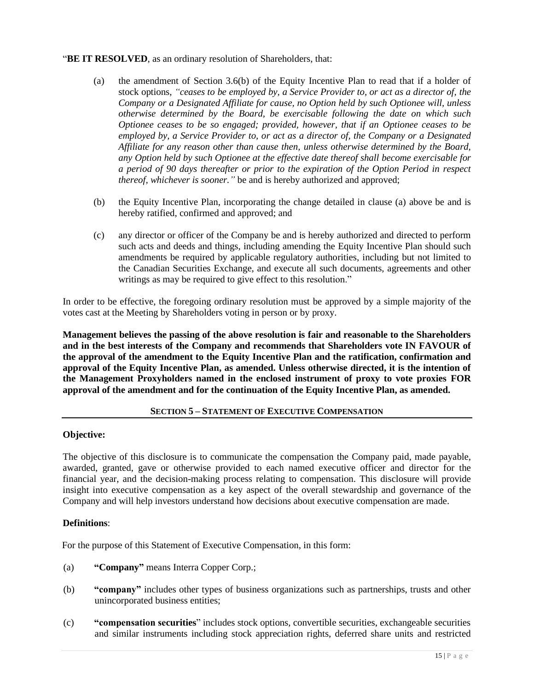# "**BE IT RESOLVED**, as an ordinary resolution of Shareholders, that:

- (a) the amendment of Section 3.6(b) of the Equity Incentive Plan to read that if a holder of stock options, *"ceases to be employed by, a Service Provider to, or act as a director of, the Company or a Designated Affiliate for cause, no Option held by such Optionee will, unless otherwise determined by the Board, be exercisable following the date on which such Optionee ceases to be so engaged; provided, however, that if an Optionee ceases to be employed by, a Service Provider to, or act as a director of, the Company or a Designated Affiliate for any reason other than cause then, unless otherwise determined by the Board, any Option held by such Optionee at the effective date thereof shall become exercisable for a period of 90 days thereafter or prior to the expiration of the Option Period in respect thereof, whichever is sooner."* be and is hereby authorized and approved;
- (b) the Equity Incentive Plan, incorporating the change detailed in clause (a) above be and is hereby ratified, confirmed and approved; and
- (c) any director or officer of the Company be and is hereby authorized and directed to perform such acts and deeds and things, including amending the Equity Incentive Plan should such amendments be required by applicable regulatory authorities, including but not limited to the Canadian Securities Exchange, and execute all such documents, agreements and other writings as may be required to give effect to this resolution."

In order to be effective, the foregoing ordinary resolution must be approved by a simple majority of the votes cast at the Meeting by Shareholders voting in person or by proxy.

**Management believes the passing of the above resolution is fair and reasonable to the Shareholders and in the best interests of the Company and recommends that Shareholders vote IN FAVOUR of the approval of the amendment to the Equity Incentive Plan and the ratification, confirmation and approval of the Equity Incentive Plan, as amended. Unless otherwise directed, it is the intention of the Management Proxyholders named in the enclosed instrument of proxy to vote proxies FOR approval of the amendment and for the continuation of the Equity Incentive Plan, as amended.**

# **SECTION 5 – STATEMENT OF EXECUTIVE COMPENSATION**

#### **Objective:**

The objective of this disclosure is to communicate the compensation the Company paid, made payable, awarded, granted, gave or otherwise provided to each named executive officer and director for the financial year, and the decision-making process relating to compensation. This disclosure will provide insight into executive compensation as a key aspect of the overall stewardship and governance of the Company and will help investors understand how decisions about executive compensation are made.

# **Definitions**:

For the purpose of this Statement of Executive Compensation, in this form:

- (a) **"Company"** means Interra Copper Corp.;
- (b) **"company"** includes other types of business organizations such as partnerships, trusts and other unincorporated business entities;
- (c) **"compensation securities**" includes stock options, convertible securities, exchangeable securities and similar instruments including stock appreciation rights, deferred share units and restricted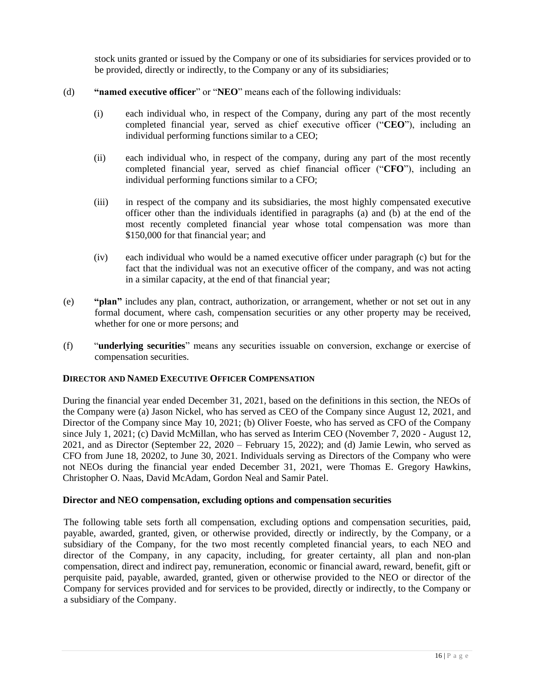stock units granted or issued by the Company or one of its subsidiaries for services provided or to be provided, directly or indirectly, to the Company or any of its subsidiaries;

- (d) **"named executive officer**" or "**NEO**" means each of the following individuals:
	- (i) each individual who, in respect of the Company, during any part of the most recently completed financial year, served as chief executive officer ("**CEO**"), including an individual performing functions similar to a CEO;
	- (ii) each individual who, in respect of the company, during any part of the most recently completed financial year, served as chief financial officer ("**CFO**"), including an individual performing functions similar to a CFO;
	- (iii) in respect of the company and its subsidiaries, the most highly compensated executive officer other than the individuals identified in paragraphs (a) and (b) at the end of the most recently completed financial year whose total compensation was more than \$150,000 for that financial year; and
	- (iv) each individual who would be a named executive officer under paragraph (c) but for the fact that the individual was not an executive officer of the company, and was not acting in a similar capacity, at the end of that financial year;
- (e) **"plan"** includes any plan, contract, authorization, or arrangement, whether or not set out in any formal document, where cash, compensation securities or any other property may be received, whether for one or more persons; and
- (f) "**underlying securities**" means any securities issuable on conversion, exchange or exercise of compensation securities.

#### **DIRECTOR AND NAMED EXECUTIVE OFFICER COMPENSATION**

During the financial year ended December 31, 2021, based on the definitions in this section, the NEOs of the Company were (a) Jason Nickel, who has served as CEO of the Company since August 12, 2021, and Director of the Company since May 10, 2021; (b) Oliver Foeste, who has served as CFO of the Company since July 1, 2021; (c) David McMillan, who has served as Interim CEO (November 7, 2020 - August 12, 2021, and as Director (September 22, 2020 – February 15, 2022); and (d) Jamie Lewin, who served as CFO from June 18, 20202, to June 30, 2021. Individuals serving as Directors of the Company who were not NEOs during the financial year ended December 31, 2021, were Thomas E. Gregory Hawkins, Christopher O. Naas, David McAdam, Gordon Neal and Samir Patel.

#### **Director and NEO compensation, excluding options and compensation securities**

The following table sets forth all compensation, excluding options and compensation securities, paid, payable, awarded, granted, given, or otherwise provided, directly or indirectly, by the Company, or a subsidiary of the Company, for the two most recently completed financial years, to each NEO and director of the Company, in any capacity, including, for greater certainty, all plan and non-plan compensation, direct and indirect pay, remuneration, economic or financial award, reward, benefit, gift or perquisite paid, payable, awarded, granted, given or otherwise provided to the NEO or director of the Company for services provided and for services to be provided, directly or indirectly, to the Company or a subsidiary of the Company.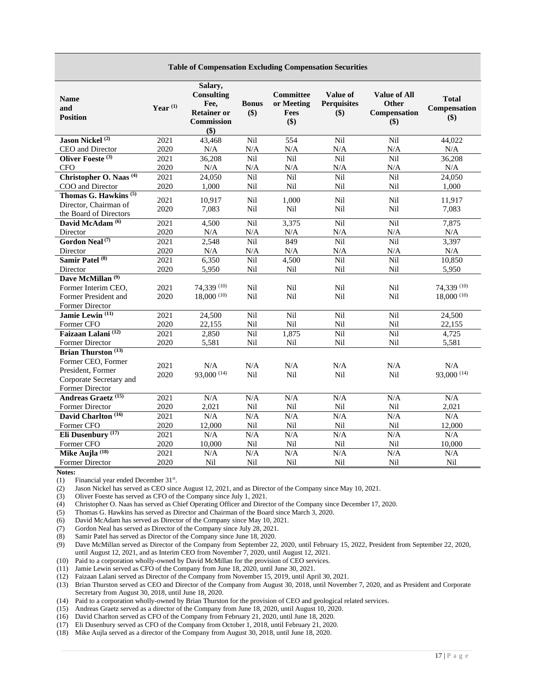| <b>Name</b><br>and<br><b>Position</b>                                                          | Year $^{(1)}$ | Salary,<br><b>Consulting</b><br>Fee,<br><b>Retainer or</b><br><b>Commission</b><br>\$) | <b>Bonus</b><br>\$) | Committee<br>or Meeting<br>Fees<br>$($ \$) | <b>Value of</b><br><b>Perquisites</b><br>\$) | <b>Value of All</b><br>Other<br>Compensation<br>$($ \$) | <b>Total</b><br>Compensation<br>\$) |
|------------------------------------------------------------------------------------------------|---------------|----------------------------------------------------------------------------------------|---------------------|--------------------------------------------|----------------------------------------------|---------------------------------------------------------|-------------------------------------|
| Jason Nickel <sup>(2)</sup>                                                                    | 2021          | 43,468                                                                                 | Nil                 | 554                                        | Nil                                          | Nil                                                     | 44,022                              |
| CEO and Director                                                                               | 2020          | N/A                                                                                    | N/A                 | N/A                                        | N/A                                          | N/A                                                     | N/A                                 |
| Oliver Foeste <sup>(3)</sup>                                                                   | 2021          | 36,208                                                                                 | Nil                 | Nil                                        | Nil                                          | Nil                                                     | 36,208                              |
| <b>CFO</b>                                                                                     | 2020          | N/A                                                                                    | N/A                 | N/A                                        | N/A                                          | N/A                                                     | $\rm N/A$                           |
| Christopher O. Naas <sup>(4)</sup>                                                             | 2021          | 24,050                                                                                 | Nil                 | Nil                                        | Nil                                          | Nil                                                     | 24,050                              |
| COO and Director                                                                               | 2020          | 1,000                                                                                  | Nil                 | Nil                                        | Nil                                          | Nil                                                     | 1,000                               |
| Thomas G. Hawkins <sup>(5)</sup><br>Director, Chairman of<br>the Board of Directors            | 2021<br>2020  | 10,917<br>7,083                                                                        | Nil<br>Nil          | 1,000<br>Nil                               | Nil<br>Nil                                   | Nil<br>Nil                                              | 11,917<br>7,083                     |
| David McAdam <sup>(6)</sup>                                                                    | 2021          | 4,500                                                                                  | Nil                 | 3,375                                      | Nil                                          | Nil                                                     | 7,875                               |
| Director                                                                                       | 2020          | $\rm N/A$                                                                              | $\rm N/A$           | N/A                                        | N/A                                          | N/A                                                     | N/A                                 |
| Gordon Neal <sup>(7)</sup>                                                                     | 2021          | 2,548                                                                                  | Nil                 | 849                                        | Nil                                          | Nil                                                     | 3,397                               |
| Director                                                                                       | 2020          | $\rm N/A$                                                                              | $\rm N/A$           | $\rm N/A$                                  | N/A                                          | N/A                                                     | $\rm N/A$                           |
| Samir Patel <sup>(8)</sup>                                                                     | 2021          | 6,350                                                                                  | Nil                 | 4,500                                      | Nil                                          | Nil                                                     | 10,850                              |
| Director                                                                                       | 2020          | 5,950                                                                                  | Nil                 | Nil                                        | Nil                                          | Nil                                                     | 5,950                               |
| Dave McMillan <sup>(9)</sup><br>Former Interim CEO,<br>Former President and<br>Former Director | 2021<br>2020  | 74,339 (10)<br>18,000(10)                                                              | Nil<br>Nil          | Nil<br>Nil                                 | Nil<br>Nil                                   | Nil<br>Nil                                              | 74,339 (10)<br>18,000(10)           |
| Jamie Lewin <sup>(11)</sup>                                                                    | 2021          | 24,500                                                                                 | Nil                 | Nil                                        | Nil                                          | Nil                                                     | 24,500                              |
| Former CFO                                                                                     | 2020          | 22,155                                                                                 | Nil                 | Nil                                        | Nil                                          | Nil                                                     | 22,155                              |
| Faizaan Lalani <sup>(12)</sup>                                                                 | 2021          | 2,850                                                                                  | Nil                 | 1,875                                      | Nil                                          | Nil                                                     | 4,725                               |
| Former Director                                                                                | 2020          | 5,581                                                                                  | Nil                 | Nil                                        | Nil                                          | Nil                                                     | 5,581                               |
| <b>Brian Thurston</b> <sup>(13)</sup>                                                          |               |                                                                                        |                     |                                            |                                              |                                                         |                                     |
| Former CEO, Former<br>President, Former<br>Corporate Secretary and<br>Former Director          | 2021<br>2020  | N/A<br>93,000 (14)                                                                     | N/A<br>Nil          | N/A<br>Nil                                 | N/A<br>Nil                                   | N/A<br>Nil                                              | N/A<br>93,000 (14)                  |
| Andreas Graetz <sup>(15)</sup>                                                                 | 2021          | N/A                                                                                    | $\rm N/A$           | N/A                                        | $\rm N/A$                                    | N/A                                                     | N/A                                 |
| Former Director                                                                                | 2020          | 2,021                                                                                  | Nil                 | Nil                                        | Nil                                          | Nil                                                     | 2,021                               |
| David Charlton <sup>(16)</sup>                                                                 | 2021          | N/A                                                                                    | N/A                 | N/A                                        | N/A                                          | N/A                                                     | N/A                                 |
| Former CFO                                                                                     | 2020          | 12,000                                                                                 | $\rm Nil$           | Nil                                        | Nil                                          | Nil                                                     | 12,000                              |
| Eli Dusenbury <sup>(17)</sup>                                                                  | 2021          | N/A                                                                                    | N/A                 | N/A                                        | N/A                                          | N/A                                                     | N/A                                 |
| Former CFO                                                                                     | 2020          | 10,000                                                                                 | Nil                 | Nil                                        | Nil                                          | Nil                                                     | 10,000                              |
| Mike Aujla <sup>(18)</sup><br>Former Director                                                  | 2021<br>2020  | $\rm N/A$<br>Nil                                                                       | $\rm N/A$<br>Nil    | N/A<br>Nil                                 | $\rm N/A$<br>Nil                             | N/A<br>Nil                                              | $\rm N/A$<br>Nil                    |

**Table of Compensation Excluding Compensation Securities**

**Notes:**

(1) Financial year ended December 31<sup>st</sup>.

(2) Jason Nickel has served as CEO since August 12, 2021, and as Director of the Company since May 10, 2021.

(3) Oliver Foeste has served as CFO of the Company since July 1, 2021.

(4) Christopher O. Naas has served as Chief Operating Officer and Director of the Company since December 17, 2020.

(5) Thomas G. Hawkins has served as Director and Chairman of the Board since March 3, 2020.

(6) David McAdam has served as Director of the Company since May 10, 2021.

(7) Gordon Neal has served as Director of the Company since July 28, 2021.

(8) Samir Patel has served as Director of the Company since June 18, 2020.

(9) Dave McMillan served as Director of the Company from September 22, 2020, until February 15, 2022, President from September 22, 2020, until August 12, 2021, and as Interim CEO from November 7, 2020, until August 12, 2021.

(10) Paid to a corporation wholly-owned by David McMillan for the provision of CEO services.

(11) Jamie Lewin served as CFO of the Company from June 18, 2020, until June 30, 2021.

(12) Faizaan Lalani served as Director of the Company from November 15, 2019, until April 30, 2021.

(13) Brian Thurston served as CEO and Director of the Company from August 30, 2018, until November 7, 2020, and as President and Corporate Secretary from August 30, 2018, until June 18, 2020.

(14) Paid to a corporation wholly-owned by Brian Thurston for the provision of CEO and geological related services.

(15) Andreas Graetz served as a director of the Company from June 18, 2020, until August 10, 2020.

(16) David Charlton served as CFO of the Company from February 21, 2020, until June 18, 2020.

(17) Eli Dusenbury served as CFO of the Company from October 1, 2018, until February 21, 2020.

(18) Mike Aujla served as a director of the Company from August 30, 2018, until June 18, 2020.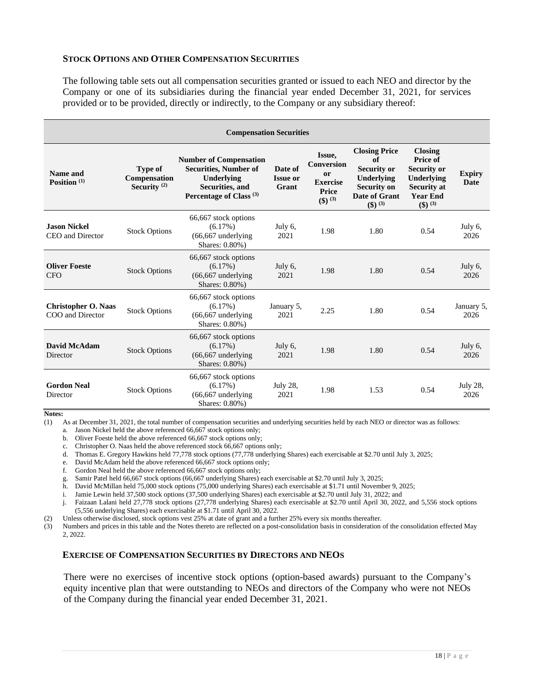#### **STOCK OPTIONS AND OTHER COMPENSATION SECURITIES**

The following table sets out all compensation securities granted or issued to each NEO and director by the Company or one of its subsidiaries during the financial year ended December 31, 2021, for services provided or to be provided, directly or indirectly, to the Company or any subsidiary thereof:

| <b>Compensation Securities</b>                 |                                                  |                                                                                                                                      |                                     |                                                                             |                                                                                                                           |                                                                                                                             |                       |
|------------------------------------------------|--------------------------------------------------|--------------------------------------------------------------------------------------------------------------------------------------|-------------------------------------|-----------------------------------------------------------------------------|---------------------------------------------------------------------------------------------------------------------------|-----------------------------------------------------------------------------------------------------------------------------|-----------------------|
| Name and<br>Position $(1)$                     | <b>Type of</b><br>Compensation<br>Security $(2)$ | <b>Number of Compensation</b><br><b>Securities, Number of</b><br>Underlying<br>Securities, and<br>Percentage of Class <sup>(3)</sup> | Date of<br><b>Issue or</b><br>Grant | Issue,<br><b>Conversion</b><br>or<br><b>Exercise</b><br>Price<br>$(\$)$ (3) | <b>Closing Price</b><br>of<br><b>Security or</b><br>Underlying<br><b>Security on</b><br>Date of Grant<br>$($ \$) $^{(3)}$ | <b>Closing</b><br>Price of<br><b>Security or</b><br>Underlying<br><b>Security at</b><br><b>Year End</b><br>$($ \$) $^{(3)}$ | <b>Expiry</b><br>Date |
| <b>Jason Nickel</b><br>CEO and Director        | <b>Stock Options</b>                             | 66,667 stock options<br>$(6.17\%)$<br>$(66, 667$ underlying<br>Shares: 0.80%)                                                        | July 6,<br>2021                     | 1.98                                                                        | 1.80                                                                                                                      | 0.54                                                                                                                        | July 6,<br>2026       |
| <b>Oliver Foeste</b><br><b>CFO</b>             | <b>Stock Options</b>                             | 66,667 stock options<br>(6.17%)<br>$(66, 667$ underlying<br>Shares: 0.80%)                                                           | July 6,<br>2021                     | 1.98                                                                        | 1.80                                                                                                                      | 0.54                                                                                                                        | July 6,<br>2026       |
| <b>Christopher O. Naas</b><br>COO and Director | <b>Stock Options</b>                             | 66,667 stock options<br>$(6.17\%)$<br>$(66, 667$ underlying<br>Shares: 0.80%)                                                        | January 5,<br>2021                  | 2.25                                                                        | 1.80                                                                                                                      | 0.54                                                                                                                        | January 5,<br>2026    |
| David McAdam<br>Director                       | <b>Stock Options</b>                             | 66,667 stock options<br>$(6.17\%)$<br>$(66, 667$ underlying<br>Shares: 0.80%)                                                        | July 6,<br>2021                     | 1.98                                                                        | 1.80                                                                                                                      | 0.54                                                                                                                        | July 6,<br>2026       |
| <b>Gordon Neal</b><br>Director                 | <b>Stock Options</b>                             | 66,667 stock options<br>(6.17%)<br>$(66, 667$ underlying<br>Shares: 0.80%)                                                           | July 28,<br>2021                    | 1.98                                                                        | 1.53                                                                                                                      | 0.54                                                                                                                        | July 28,<br>2026      |

**Notes:**

(1) As at December 31, 2021, the total number of compensation securities and underlying securities held by each NEO or director was as follows:

- a. Jason Nickel held the above referenced 66,667 stock options only;
- b. Oliver Foeste held the above referenced 66,667 stock options only;

c. Christopher O. Naas held the above referenced stock 66,667 options only;

d. Thomas E. Gregory Hawkins held 77,778 stock options (77,778 underlying Shares) each exercisable at \$2.70 until July 3, 2025;

e. David McAdam held the above referenced 66,667 stock options only;<br>f. Gordon Neal held the above referenced 66,667 stock options only; f. Gordon Neal held the above referenced 66,667 stock options only;

g. Samir Patel held 66,667 stock options (66,667 underlying Shares) each exercisable at \$2.70 until July 3, 2025;

h. David McMillan held 75,000 stock options (75,000 underlying Shares) each exercisable at \$1.71 until November 9, 2025;

i. Jamie Lewin held 37,500 stock options (37,500 underlying Shares) each exercisable at \$2.70 until July 31, 2022; and

j. Faizaan Lalani held 27,778 stock options (27,778 underlying Shares) each exercisable at \$2.70 until April 30, 2022, and 5,556 stock options (5,556 underlying Shares) each exercisable at \$1.71 until April 30, 2022.

(2) Unless otherwise disclosed, stock options vest 25% at date of grant and a further 25% every six months thereafter.

(3) Numbers and prices in this table and the Notes thereto are reflected on a post-consolidation basis in consideration of the consolidation effected May 2, 2022.

#### **EXERCISE OF COMPENSATION SECURITIES BY DIRECTORS AND NEOS**

There were no exercises of incentive stock options (option-based awards) pursuant to the Company's equity incentive plan that were outstanding to NEOs and directors of the Company who were not NEOs of the Company during the financial year ended December 31, 2021.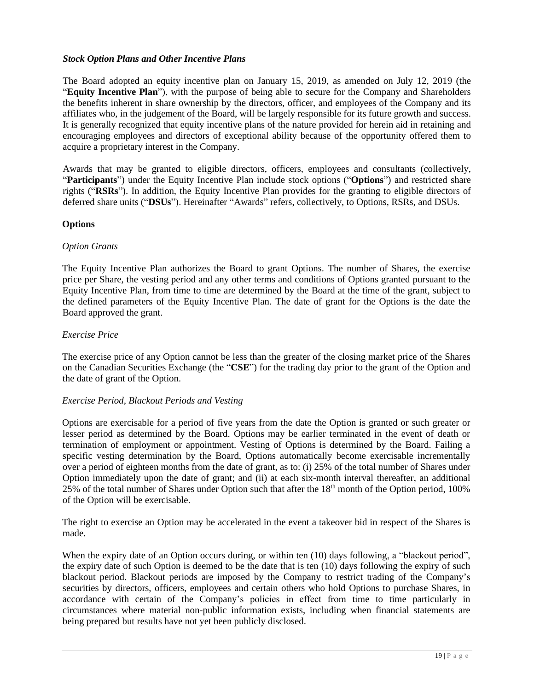# *Stock Option Plans and Other Incentive Plans*

The Board adopted an equity incentive plan on January 15, 2019, as amended on July 12, 2019 (the "**Equity Incentive Plan**"), with the purpose of being able to secure for the Company and Shareholders the benefits inherent in share ownership by the directors, officer, and employees of the Company and its affiliates who, in the judgement of the Board, will be largely responsible for its future growth and success. It is generally recognized that equity incentive plans of the nature provided for herein aid in retaining and encouraging employees and directors of exceptional ability because of the opportunity offered them to acquire a proprietary interest in the Company.

Awards that may be granted to eligible directors, officers, employees and consultants (collectively, "**Participants**") under the Equity Incentive Plan include stock options ("**Options**") and restricted share rights ("**RSRs**"). In addition, the Equity Incentive Plan provides for the granting to eligible directors of deferred share units ("**DSUs**"). Hereinafter "Awards" refers, collectively, to Options, RSRs, and DSUs.

# **Options**

#### *Option Grants*

The Equity Incentive Plan authorizes the Board to grant Options. The number of Shares, the exercise price per Share, the vesting period and any other terms and conditions of Options granted pursuant to the Equity Incentive Plan, from time to time are determined by the Board at the time of the grant, subject to the defined parameters of the Equity Incentive Plan. The date of grant for the Options is the date the Board approved the grant.

#### *Exercise Price*

The exercise price of any Option cannot be less than the greater of the closing market price of the Shares on the Canadian Securities Exchange (the "**CSE**") for the trading day prior to the grant of the Option and the date of grant of the Option.

# *Exercise Period, Blackout Periods and Vesting*

Options are exercisable for a period of five years from the date the Option is granted or such greater or lesser period as determined by the Board. Options may be earlier terminated in the event of death or termination of employment or appointment. Vesting of Options is determined by the Board. Failing a specific vesting determination by the Board, Options automatically become exercisable incrementally over a period of eighteen months from the date of grant, as to: (i) 25% of the total number of Shares under Option immediately upon the date of grant; and (ii) at each six-month interval thereafter, an additional 25% of the total number of Shares under Option such that after the 18th month of the Option period, 100% of the Option will be exercisable.

The right to exercise an Option may be accelerated in the event a takeover bid in respect of the Shares is made.

When the expiry date of an Option occurs during, or within ten (10) days following, a "blackout period", the expiry date of such Option is deemed to be the date that is ten (10) days following the expiry of such blackout period. Blackout periods are imposed by the Company to restrict trading of the Company's securities by directors, officers, employees and certain others who hold Options to purchase Shares, in accordance with certain of the Company's policies in effect from time to time particularly in circumstances where material non-public information exists, including when financial statements are being prepared but results have not yet been publicly disclosed.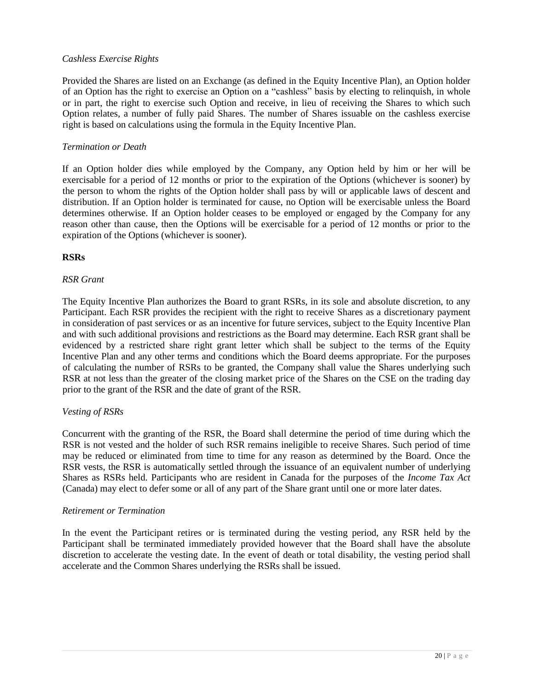# *Cashless Exercise Rights*

Provided the Shares are listed on an Exchange (as defined in the Equity Incentive Plan), an Option holder of an Option has the right to exercise an Option on a "cashless" basis by electing to relinquish, in whole or in part, the right to exercise such Option and receive, in lieu of receiving the Shares to which such Option relates, a number of fully paid Shares. The number of Shares issuable on the cashless exercise right is based on calculations using the formula in the Equity Incentive Plan.

# *Termination or Death*

If an Option holder dies while employed by the Company, any Option held by him or her will be exercisable for a period of 12 months or prior to the expiration of the Options (whichever is sooner) by the person to whom the rights of the Option holder shall pass by will or applicable laws of descent and distribution. If an Option holder is terminated for cause, no Option will be exercisable unless the Board determines otherwise. If an Option holder ceases to be employed or engaged by the Company for any reason other than cause, then the Options will be exercisable for a period of 12 months or prior to the expiration of the Options (whichever is sooner).

# **RSRs**

#### *RSR Grant*

The Equity Incentive Plan authorizes the Board to grant RSRs, in its sole and absolute discretion, to any Participant. Each RSR provides the recipient with the right to receive Shares as a discretionary payment in consideration of past services or as an incentive for future services, subject to the Equity Incentive Plan and with such additional provisions and restrictions as the Board may determine. Each RSR grant shall be evidenced by a restricted share right grant letter which shall be subject to the terms of the Equity Incentive Plan and any other terms and conditions which the Board deems appropriate. For the purposes of calculating the number of RSRs to be granted, the Company shall value the Shares underlying such RSR at not less than the greater of the closing market price of the Shares on the CSE on the trading day prior to the grant of the RSR and the date of grant of the RSR.

#### *Vesting of RSRs*

Concurrent with the granting of the RSR, the Board shall determine the period of time during which the RSR is not vested and the holder of such RSR remains ineligible to receive Shares. Such period of time may be reduced or eliminated from time to time for any reason as determined by the Board. Once the RSR vests, the RSR is automatically settled through the issuance of an equivalent number of underlying Shares as RSRs held. Participants who are resident in Canada for the purposes of the *Income Tax Act* (Canada) may elect to defer some or all of any part of the Share grant until one or more later dates.

#### *Retirement or Termination*

In the event the Participant retires or is terminated during the vesting period, any RSR held by the Participant shall be terminated immediately provided however that the Board shall have the absolute discretion to accelerate the vesting date. In the event of death or total disability, the vesting period shall accelerate and the Common Shares underlying the RSRs shall be issued.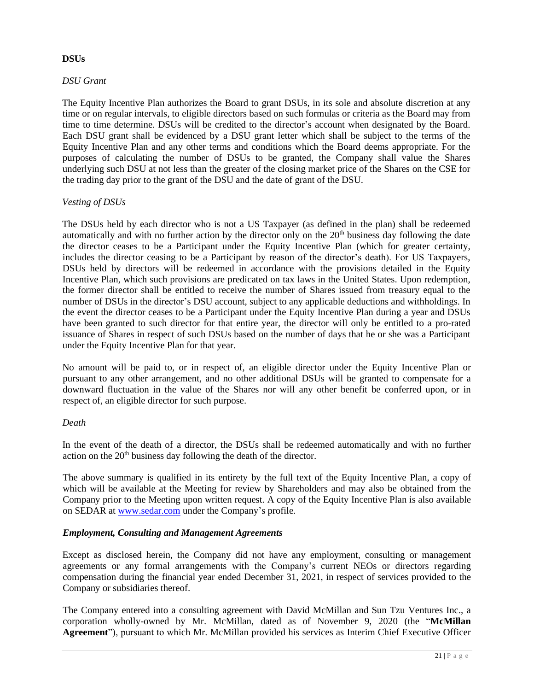# **DSUs**

# *DSU Grant*

The Equity Incentive Plan authorizes the Board to grant DSUs, in its sole and absolute discretion at any time or on regular intervals, to eligible directors based on such formulas or criteria as the Board may from time to time determine. DSUs will be credited to the director's account when designated by the Board. Each DSU grant shall be evidenced by a DSU grant letter which shall be subject to the terms of the Equity Incentive Plan and any other terms and conditions which the Board deems appropriate. For the purposes of calculating the number of DSUs to be granted, the Company shall value the Shares underlying such DSU at not less than the greater of the closing market price of the Shares on the CSE for the trading day prior to the grant of the DSU and the date of grant of the DSU.

# *Vesting of DSUs*

The DSUs held by each director who is not a US Taxpayer (as defined in the plan) shall be redeemed automatically and with no further action by the director only on the 20<sup>th</sup> business day following the date the director ceases to be a Participant under the Equity Incentive Plan (which for greater certainty, includes the director ceasing to be a Participant by reason of the director's death). For US Taxpayers, DSUs held by directors will be redeemed in accordance with the provisions detailed in the Equity Incentive Plan, which such provisions are predicated on tax laws in the United States. Upon redemption, the former director shall be entitled to receive the number of Shares issued from treasury equal to the number of DSUs in the director's DSU account, subject to any applicable deductions and withholdings. In the event the director ceases to be a Participant under the Equity Incentive Plan during a year and DSUs have been granted to such director for that entire year, the director will only be entitled to a pro-rated issuance of Shares in respect of such DSUs based on the number of days that he or she was a Participant under the Equity Incentive Plan for that year.

No amount will be paid to, or in respect of, an eligible director under the Equity Incentive Plan or pursuant to any other arrangement, and no other additional DSUs will be granted to compensate for a downward fluctuation in the value of the Shares nor will any other benefit be conferred upon, or in respect of, an eligible director for such purpose.

# *Death*

In the event of the death of a director, the DSUs shall be redeemed automatically and with no further action on the 20<sup>th</sup> business day following the death of the director.

The above summary is qualified in its entirety by the full text of the Equity Incentive Plan, a copy of which will be available at the Meeting for review by Shareholders and may also be obtained from the Company prior to the Meeting upon written request. A copy of the Equity Incentive Plan is also available on SEDAR at [www.sedar.com](http://www.sedar.com/) under the Company's profile.

# *Employment, Consulting and Management Agreements*

Except as disclosed herein, the Company did not have any employment, consulting or management agreements or any formal arrangements with the Company's current NEOs or directors regarding compensation during the financial year ended December 31, 2021, in respect of services provided to the Company or subsidiaries thereof.

The Company entered into a consulting agreement with David McMillan and Sun Tzu Ventures Inc., a corporation wholly-owned by Mr. McMillan, dated as of November 9, 2020 (the "**McMillan Agreement**"), pursuant to which Mr. McMillan provided his services as Interim Chief Executive Officer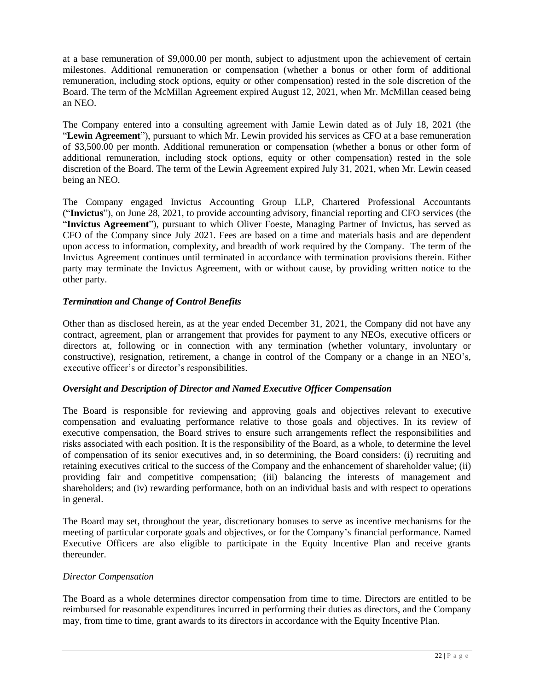at a base remuneration of \$9,000.00 per month, subject to adjustment upon the achievement of certain milestones. Additional remuneration or compensation (whether a bonus or other form of additional remuneration, including stock options, equity or other compensation) rested in the sole discretion of the Board. The term of the McMillan Agreement expired August 12, 2021, when Mr. McMillan ceased being an NEO.

The Company entered into a consulting agreement with Jamie Lewin dated as of July 18, 2021 (the "**Lewin Agreement**"), pursuant to which Mr. Lewin provided his services as CFO at a base remuneration of \$3,500.00 per month. Additional remuneration or compensation (whether a bonus or other form of additional remuneration, including stock options, equity or other compensation) rested in the sole discretion of the Board. The term of the Lewin Agreement expired July 31, 2021, when Mr. Lewin ceased being an NEO.

The Company engaged Invictus Accounting Group LLP, Chartered Professional Accountants ("**Invictus**"), on June 28, 2021, to provide accounting advisory, financial reporting and CFO services (the "**Invictus Agreement**"), pursuant to which Oliver Foeste, Managing Partner of Invictus, has served as CFO of the Company since July 2021. Fees are based on a time and materials basis and are dependent upon access to information, complexity, and breadth of work required by the Company. The term of the Invictus Agreement continues until terminated in accordance with termination provisions therein. Either party may terminate the Invictus Agreement, with or without cause, by providing written notice to the other party.

# *Termination and Change of Control Benefits*

Other than as disclosed herein, as at the year ended December 31, 2021, the Company did not have any contract, agreement, plan or arrangement that provides for payment to any NEOs, executive officers or directors at, following or in connection with any termination (whether voluntary, involuntary or constructive), resignation, retirement, a change in control of the Company or a change in an NEO's, executive officer's or director's responsibilities.

# *Oversight and Description of Director and Named Executive Officer Compensation*

The Board is responsible for reviewing and approving goals and objectives relevant to executive compensation and evaluating performance relative to those goals and objectives. In its review of executive compensation, the Board strives to ensure such arrangements reflect the responsibilities and risks associated with each position. It is the responsibility of the Board, as a whole, to determine the level of compensation of its senior executives and, in so determining, the Board considers: (i) recruiting and retaining executives critical to the success of the Company and the enhancement of shareholder value; (ii) providing fair and competitive compensation; (iii) balancing the interests of management and shareholders; and (iv) rewarding performance, both on an individual basis and with respect to operations in general.

The Board may set, throughout the year, discretionary bonuses to serve as incentive mechanisms for the meeting of particular corporate goals and objectives, or for the Company's financial performance. Named Executive Officers are also eligible to participate in the Equity Incentive Plan and receive grants thereunder.

# *Director Compensation*

The Board as a whole determines director compensation from time to time. Directors are entitled to be reimbursed for reasonable expenditures incurred in performing their duties as directors, and the Company may, from time to time, grant awards to its directors in accordance with the Equity Incentive Plan.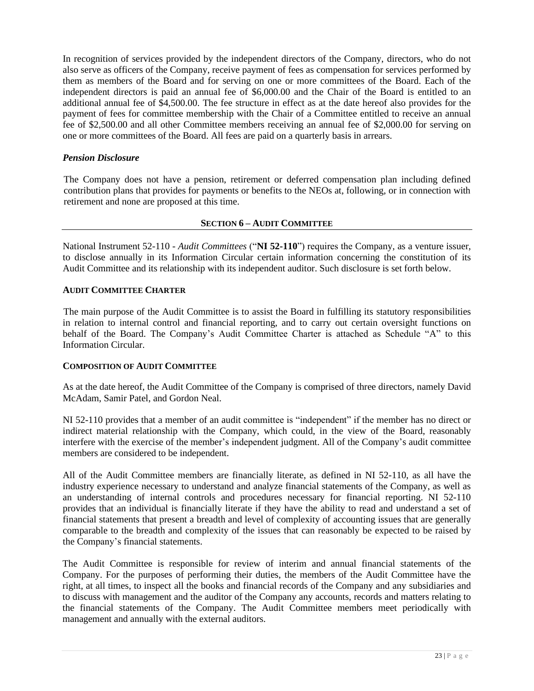In recognition of services provided by the independent directors of the Company, directors, who do not also serve as officers of the Company, receive payment of fees as compensation for services performed by them as members of the Board and for serving on one or more committees of the Board. Each of the independent directors is paid an annual fee of \$6,000.00 and the Chair of the Board is entitled to an additional annual fee of \$4,500.00. The fee structure in effect as at the date hereof also provides for the payment of fees for committee membership with the Chair of a Committee entitled to receive an annual fee of \$2,500.00 and all other Committee members receiving an annual fee of \$2,000.00 for serving on one or more committees of the Board. All fees are paid on a quarterly basis in arrears.

# *Pension Disclosure*

The Company does not have a pension, retirement or deferred compensation plan including defined contribution plans that provides for payments or benefits to the NEOs at, following, or in connection with retirement and none are proposed at this time.

# **SECTION 6 – AUDIT COMMITTEE**

National Instrument 52-110 - *Audit Committees* ("**NI 52-110**") requires the Company, as a venture issuer, to disclose annually in its Information Circular certain information concerning the constitution of its Audit Committee and its relationship with its independent auditor. Such disclosure is set forth below.

# **AUDIT COMMITTEE CHARTER**

The main purpose of the Audit Committee is to assist the Board in fulfilling its statutory responsibilities in relation to internal control and financial reporting, and to carry out certain oversight functions on behalf of the Board. The Company's Audit Committee Charter is attached as Schedule "A" to this Information Circular.

# **COMPOSITION OF AUDIT COMMITTEE**

As at the date hereof, the Audit Committee of the Company is comprised of three directors, namely David McAdam, Samir Patel, and Gordon Neal.

NI 52-110 provides that a member of an audit committee is "independent" if the member has no direct or indirect material relationship with the Company, which could, in the view of the Board, reasonably interfere with the exercise of the member's independent judgment. All of the Company's audit committee members are considered to be independent.

All of the Audit Committee members are financially literate, as defined in NI 52-110, as all have the industry experience necessary to understand and analyze financial statements of the Company, as well as an understanding of internal controls and procedures necessary for financial reporting. NI 52-110 provides that an individual is financially literate if they have the ability to read and understand a set of financial statements that present a breadth and level of complexity of accounting issues that are generally comparable to the breadth and complexity of the issues that can reasonably be expected to be raised by the Company's financial statements.

The Audit Committee is responsible for review of interim and annual financial statements of the Company. For the purposes of performing their duties, the members of the Audit Committee have the right, at all times, to inspect all the books and financial records of the Company and any subsidiaries and to discuss with management and the auditor of the Company any accounts, records and matters relating to the financial statements of the Company. The Audit Committee members meet periodically with management and annually with the external auditors.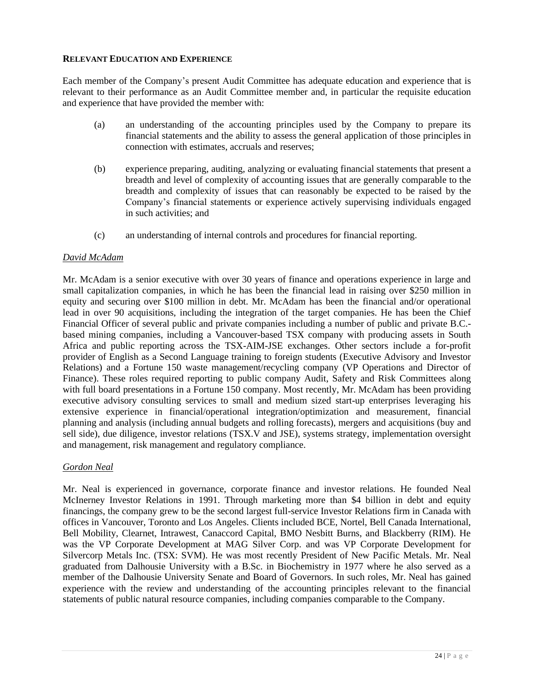#### **RELEVANT EDUCATION AND EXPERIENCE**

Each member of the Company's present Audit Committee has adequate education and experience that is relevant to their performance as an Audit Committee member and, in particular the requisite education and experience that have provided the member with:

- (a) an understanding of the accounting principles used by the Company to prepare its financial statements and the ability to assess the general application of those principles in connection with estimates, accruals and reserves;
- (b) experience preparing, auditing, analyzing or evaluating financial statements that present a breadth and level of complexity of accounting issues that are generally comparable to the breadth and complexity of issues that can reasonably be expected to be raised by the Company's financial statements or experience actively supervising individuals engaged in such activities; and
- (c) an understanding of internal controls and procedures for financial reporting.

# *David McAdam*

Mr. McAdam is a senior executive with over 30 years of finance and operations experience in large and small capitalization companies, in which he has been the financial lead in raising over \$250 million in equity and securing over \$100 million in debt. Mr. McAdam has been the financial and/or operational lead in over 90 acquisitions, including the integration of the target companies. He has been the Chief Financial Officer of several public and private companies including a number of public and private B.C. based mining companies, including a Vancouver-based TSX company with producing assets in South Africa and public reporting across the TSX-AIM-JSE exchanges. Other sectors include a for-profit provider of English as a Second Language training to foreign students (Executive Advisory and Investor Relations) and a Fortune 150 waste management/recycling company (VP Operations and Director of Finance). These roles required reporting to public company Audit, Safety and Risk Committees along with full board presentations in a Fortune 150 company. Most recently, Mr. McAdam has been providing executive advisory consulting services to small and medium sized start-up enterprises leveraging his extensive experience in financial/operational integration/optimization and measurement, financial planning and analysis (including annual budgets and rolling forecasts), mergers and acquisitions (buy and sell side), due diligence, investor relations (TSX.V and JSE), systems strategy, implementation oversight and management, risk management and regulatory compliance.

# *Gordon Neal*

Mr. Neal is experienced in governance, corporate finance and investor relations. He founded Neal McInerney Investor Relations in 1991. Through marketing more than \$4 billion in debt and equity financings, the company grew to be the second largest full-service Investor Relations firm in Canada with offices in Vancouver, Toronto and Los Angeles. Clients included BCE, Nortel, Bell Canada International, Bell Mobility, Clearnet, Intrawest, Canaccord Capital, BMO Nesbitt Burns, and Blackberry (RIM). He was the VP Corporate Development at MAG Silver Corp. and was VP Corporate Development for Silvercorp Metals Inc. (TSX: SVM). He was most recently President of New Pacific Metals. Mr. Neal graduated from Dalhousie University with a B.Sc. in Biochemistry in 1977 where he also served as a member of the Dalhousie University Senate and Board of Governors. In such roles, Mr. Neal has gained experience with the review and understanding of the accounting principles relevant to the financial statements of public natural resource companies, including companies comparable to the Company.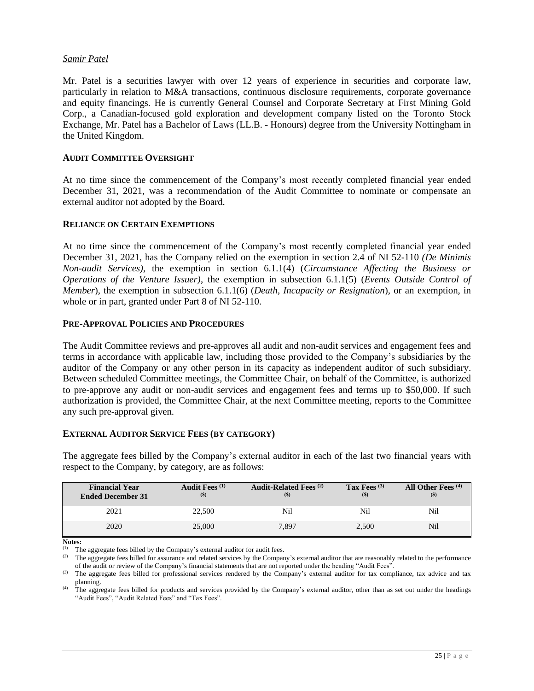# *Samir Patel*

Mr. Patel is a securities lawyer with over 12 years of experience in securities and corporate law, particularly in relation to M&A transactions, continuous disclosure requirements, corporate governance and equity financings. He is currently General Counsel and Corporate Secretary at First Mining Gold Corp., a Canadian-focused gold exploration and development company listed on the Toronto Stock Exchange, Mr. Patel has a Bachelor of Laws (LL.B. - Honours) degree from the University Nottingham in the United Kingdom.

#### **AUDIT COMMITTEE OVERSIGHT**

At no time since the commencement of the Company's most recently completed financial year ended December 31, 2021, was a recommendation of the Audit Committee to nominate or compensate an external auditor not adopted by the Board.

#### **RELIANCE ON CERTAIN EXEMPTIONS**

At no time since the commencement of the Company's most recently completed financial year ended December 31, 2021, has the Company relied on the exemption in section 2.4 of NI 52-110 *(De Minimis Non-audit Services)*, the exemption in section 6.1.1(4) (*Circumstance Affecting the Business or Operations of the Venture Issuer)*, the exemption in subsection 6.1.1(5) (*Events Outside Control of Member*), the exemption in subsection 6.1.1(6) (*Death, Incapacity or Resignation*), or an exemption, in whole or in part, granted under Part 8 of NI 52-110.

#### **PRE-APPROVAL POLICIES AND PROCEDURES**

The Audit Committee reviews and pre-approves all audit and non-audit services and engagement fees and terms in accordance with applicable law, including those provided to the Company's subsidiaries by the auditor of the Company or any other person in its capacity as independent auditor of such subsidiary. Between scheduled Committee meetings, the Committee Chair, on behalf of the Committee, is authorized to pre-approve any audit or non-audit services and engagement fees and terms up to \$50,000. If such authorization is provided, the Committee Chair, at the next Committee meeting, reports to the Committee any such pre-approval given.

#### **EXTERNAL AUDITOR SERVICE FEES (BY CATEGORY)**

The aggregate fees billed by the Company's external auditor in each of the last two financial years with respect to the Company, by category, are as follows:

| <b>Financial Year</b><br><b>Ended December 31</b> | <b>Audit Fees</b> <sup>(1)</sup><br>$($)$ | Audit-Related Fees <sup>(2)</sup> | Tax Fees $(3)$<br>$($)$ | All Other Fees <sup>(4)</sup><br>$($)$ |
|---------------------------------------------------|-------------------------------------------|-----------------------------------|-------------------------|----------------------------------------|
| 2021                                              | 22,500                                    | Nil                               | Nil                     | Nil                                    |
| 2020                                              | 25,000                                    | 7.897                             | 2,500                   | Nil                                    |

**Notes:**

(1) The aggregate fees billed by the Company's external auditor for audit fees.

<sup>(2)</sup> The aggregate fees billed for assurance and related services by the Company's external auditor that are reasonably related to the performance of the audit or review of the Company's financial statements that are not reported under the heading "Audit Fees".

(3) The aggregate fees billed for professional services rendered by the Company's external auditor for tax compliance, tax advice and tax planning.

<sup>(4)</sup> The aggregate fees billed for products and services provided by the Company's external auditor, other than as set out under the headings "Audit Fees", "Audit Related Fees" and "Tax Fees".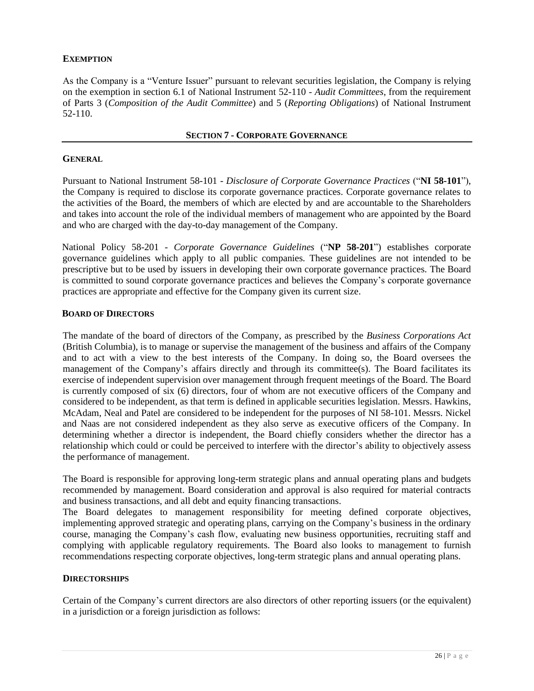# **EXEMPTION**

As the Company is a "Venture Issuer" pursuant to relevant securities legislation, the Company is relying on the exemption in section 6.1 of National Instrument 52-110 - *Audit Committees*, from the requirement of Parts 3 (*Composition of the Audit Committee*) and 5 (*Reporting Obligations*) of National Instrument 52-110.

#### **SECTION 7 - CORPORATE GOVERNANCE**

#### **GENERAL**

Pursuant to National Instrument 58-101 - *Disclosure of Corporate Governance Practices* ("**NI 58-101**"), the Company is required to disclose its corporate governance practices. Corporate governance relates to the activities of the Board, the members of which are elected by and are accountable to the Shareholders and takes into account the role of the individual members of management who are appointed by the Board and who are charged with the day-to-day management of the Company.

National Policy 58-201 - *Corporate Governance Guidelines* ("**NP 58-201**") establishes corporate governance guidelines which apply to all public companies. These guidelines are not intended to be prescriptive but to be used by issuers in developing their own corporate governance practices. The Board is committed to sound corporate governance practices and believes the Company's corporate governance practices are appropriate and effective for the Company given its current size.

#### **BOARD OF DIRECTORS**

The mandate of the board of directors of the Company, as prescribed by the *Business Corporations Act*  (British Columbia), is to manage or supervise the management of the business and affairs of the Company and to act with a view to the best interests of the Company. In doing so, the Board oversees the management of the Company's affairs directly and through its committee(s). The Board facilitates its exercise of independent supervision over management through frequent meetings of the Board. The Board is currently composed of six (6) directors, four of whom are not executive officers of the Company and considered to be independent, as that term is defined in applicable securities legislation. Messrs. Hawkins, McAdam, Neal and Patel are considered to be independent for the purposes of NI 58-101. Messrs. Nickel and Naas are not considered independent as they also serve as executive officers of the Company. In determining whether a director is independent, the Board chiefly considers whether the director has a relationship which could or could be perceived to interfere with the director's ability to objectively assess the performance of management.

The Board is responsible for approving long-term strategic plans and annual operating plans and budgets recommended by management. Board consideration and approval is also required for material contracts and business transactions, and all debt and equity financing transactions.

The Board delegates to management responsibility for meeting defined corporate objectives, implementing approved strategic and operating plans, carrying on the Company's business in the ordinary course, managing the Company's cash flow, evaluating new business opportunities, recruiting staff and complying with applicable regulatory requirements. The Board also looks to management to furnish recommendations respecting corporate objectives, long-term strategic plans and annual operating plans.

#### **DIRECTORSHIPS**

Certain of the Company's current directors are also directors of other reporting issuers (or the equivalent) in a jurisdiction or a foreign jurisdiction as follows: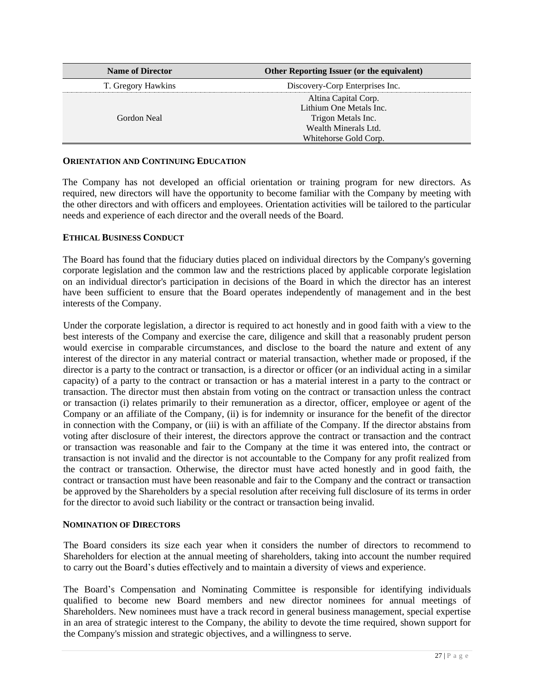| <b>Name of Director</b> | <b>Other Reporting Issuer (or the equivalent)</b> |
|-------------------------|---------------------------------------------------|
| T. Gregory Hawkins      | Discovery-Corp Enterprises Inc.                   |
|                         | Altina Capital Corp.                              |
|                         | Lithium One Metals Inc.                           |
| Gordon Neal             | Trigon Metals Inc.                                |
|                         | Wealth Minerals Ltd.                              |
|                         | Whitehorse Gold Corp.                             |

# **ORIENTATION AND CONTINUING EDUCATION**

The Company has not developed an official orientation or training program for new directors. As required, new directors will have the opportunity to become familiar with the Company by meeting with the other directors and with officers and employees. Orientation activities will be tailored to the particular needs and experience of each director and the overall needs of the Board.

# **ETHICAL BUSINESS CONDUCT**

The Board has found that the fiduciary duties placed on individual directors by the Company's governing corporate legislation and the common law and the restrictions placed by applicable corporate legislation on an individual director's participation in decisions of the Board in which the director has an interest have been sufficient to ensure that the Board operates independently of management and in the best interests of the Company.

Under the corporate legislation, a director is required to act honestly and in good faith with a view to the best interests of the Company and exercise the care, diligence and skill that a reasonably prudent person would exercise in comparable circumstances, and disclose to the board the nature and extent of any interest of the director in any material contract or material transaction, whether made or proposed, if the director is a party to the contract or transaction, is a director or officer (or an individual acting in a similar capacity) of a party to the contract or transaction or has a material interest in a party to the contract or transaction. The director must then abstain from voting on the contract or transaction unless the contract or transaction (i) relates primarily to their remuneration as a director, officer, employee or agent of the Company or an affiliate of the Company, (ii) is for indemnity or insurance for the benefit of the director in connection with the Company, or (iii) is with an affiliate of the Company. If the director abstains from voting after disclosure of their interest, the directors approve the contract or transaction and the contract or transaction was reasonable and fair to the Company at the time it was entered into, the contract or transaction is not invalid and the director is not accountable to the Company for any profit realized from the contract or transaction. Otherwise, the director must have acted honestly and in good faith, the contract or transaction must have been reasonable and fair to the Company and the contract or transaction be approved by the Shareholders by a special resolution after receiving full disclosure of its terms in order for the director to avoid such liability or the contract or transaction being invalid.

# **NOMINATION OF DIRECTORS**

The Board considers its size each year when it considers the number of directors to recommend to Shareholders for election at the annual meeting of shareholders, taking into account the number required to carry out the Board's duties effectively and to maintain a diversity of views and experience.

The Board's Compensation and Nominating Committee is responsible for identifying individuals qualified to become new Board members and new director nominees for annual meetings of Shareholders. New nominees must have a track record in general business management, special expertise in an area of strategic interest to the Company, the ability to devote the time required, shown support for the Company's mission and strategic objectives, and a willingness to serve.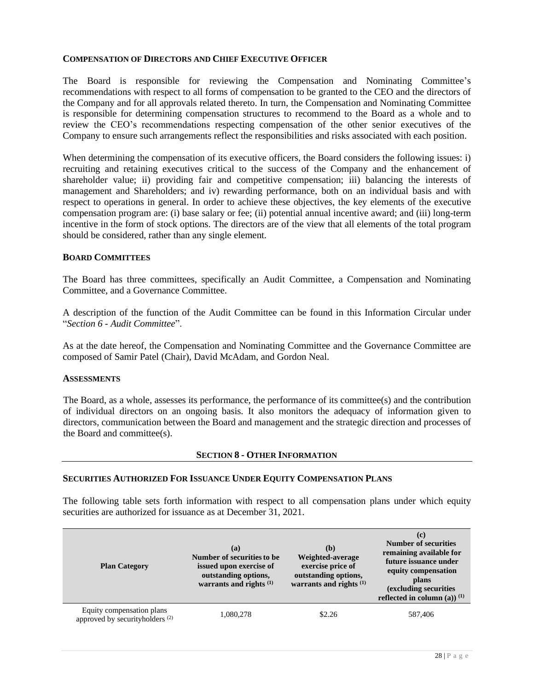#### **COMPENSATION OF DIRECTORS AND CHIEF EXECUTIVE OFFICER**

The Board is responsible for reviewing the Compensation and Nominating Committee's recommendations with respect to all forms of compensation to be granted to the CEO and the directors of the Company and for all approvals related thereto. In turn, the Compensation and Nominating Committee is responsible for determining compensation structures to recommend to the Board as a whole and to review the CEO's recommendations respecting compensation of the other senior executives of the Company to ensure such arrangements reflect the responsibilities and risks associated with each position.

When determining the compensation of its executive officers, the Board considers the following issues: i) recruiting and retaining executives critical to the success of the Company and the enhancement of shareholder value; ii) providing fair and competitive compensation; iii) balancing the interests of management and Shareholders; and iv) rewarding performance, both on an individual basis and with respect to operations in general. In order to achieve these objectives, the key elements of the executive compensation program are: (i) base salary or fee; (ii) potential annual incentive award; and (iii) long-term incentive in the form of stock options. The directors are of the view that all elements of the total program should be considered, rather than any single element.

#### **BOARD COMMITTEES**

The Board has three committees, specifically an Audit Committee, a Compensation and Nominating Committee, and a Governance Committee.

A description of the function of the Audit Committee can be found in this Information Circular under "*Section 6 - Audit Committee*".

As at the date hereof, the Compensation and Nominating Committee and the Governance Committee are composed of Samir Patel (Chair), David McAdam, and Gordon Neal.

#### **ASSESSMENTS**

The Board, as a whole, assesses its performance, the performance of its committee(s) and the contribution of individual directors on an ongoing basis. It also monitors the adequacy of information given to directors, communication between the Board and management and the strategic direction and processes of the Board and committee(s).

#### **SECTION 8 - OTHER INFORMATION**

#### **SECURITIES AUTHORIZED FOR ISSUANCE UNDER EQUITY COMPENSATION PLANS**

The following table sets forth information with respect to all compensation plans under which equity securities are authorized for issuance as at December 31, 2021.

| <b>Plan Category</b>                                                    | (a)<br>Number of securities to be<br>issued upon exercise of<br>outstanding options,<br>warrants and rights $(1)$ | (b)<br>Weighted-average<br>exercise price of<br>outstanding options,<br>warrants and rights $(1)$ | (c)<br><b>Number of securities</b><br>remaining available for<br>future issuance under<br>equity compensation<br>plans<br>(excluding securities<br>reflected in column (a)) $^{(1)}$ |
|-------------------------------------------------------------------------|-------------------------------------------------------------------------------------------------------------------|---------------------------------------------------------------------------------------------------|--------------------------------------------------------------------------------------------------------------------------------------------------------------------------------------|
| Equity compensation plans<br>approved by securityholders <sup>(2)</sup> | 1,080,278                                                                                                         | \$2.26                                                                                            | 587,406                                                                                                                                                                              |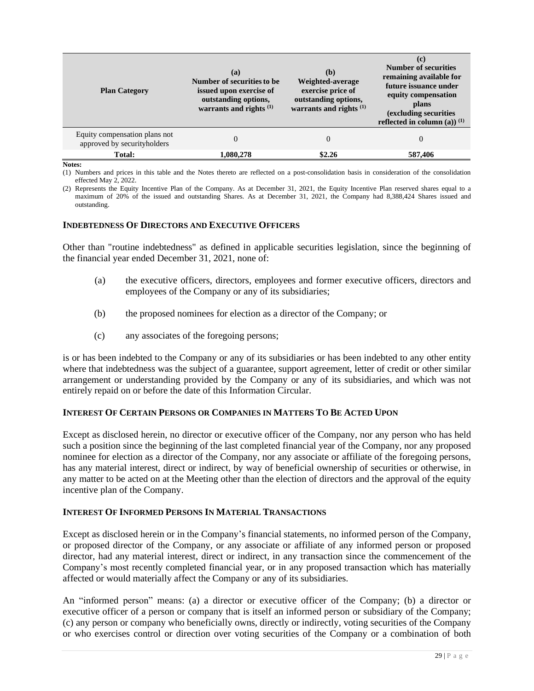| <b>Plan Category</b>                                         | (a)<br>Number of securities to be<br>issued upon exercise of<br>outstanding options,<br>warrants and rights <sup>(1)</sup> | (b)<br>Weighted-average<br>exercise price of<br>outstanding options,<br>warrants and rights $(1)$ | (c)<br><b>Number of securities</b><br>remaining available for<br>future issuance under<br>equity compensation<br>plans<br>(excluding securities<br>reflected in column (a)) $^{(1)}$ |
|--------------------------------------------------------------|----------------------------------------------------------------------------------------------------------------------------|---------------------------------------------------------------------------------------------------|--------------------------------------------------------------------------------------------------------------------------------------------------------------------------------------|
| Equity compensation plans not<br>approved by securityholders | $\Omega$                                                                                                                   | $\Omega$                                                                                          | $\theta$                                                                                                                                                                             |
| Total:                                                       | 1,080,278                                                                                                                  | \$2.26                                                                                            | 587,406                                                                                                                                                                              |

**Notes:**

(1) Numbers and prices in this table and the Notes thereto are reflected on a post-consolidation basis in consideration of the consolidation effected May 2, 2022.

(2) Represents the Equity Incentive Plan of the Company. As at December 31, 2021, the Equity Incentive Plan reserved shares equal to a maximum of 20% of the issued and outstanding Shares. As at December 31, 2021, the Company had 8,388,424 Shares issued and outstanding.

# **INDEBTEDNESS OF DIRECTORS AND EXECUTIVE OFFICERS**

Other than "routine indebtedness" as defined in applicable securities legislation, since the beginning of the financial year ended December 31, 2021, none of:

- (a) the executive officers, directors, employees and former executive officers, directors and employees of the Company or any of its subsidiaries;
- (b) the proposed nominees for election as a director of the Company; or
- (c) any associates of the foregoing persons;

is or has been indebted to the Company or any of its subsidiaries or has been indebted to any other entity where that indebtedness was the subject of a guarantee, support agreement, letter of credit or other similar arrangement or understanding provided by the Company or any of its subsidiaries, and which was not entirely repaid on or before the date of this Information Circular.

# **INTEREST OF CERTAIN PERSONS OR COMPANIES IN MATTERS TO BE ACTED UPON**

Except as disclosed herein, no director or executive officer of the Company, nor any person who has held such a position since the beginning of the last completed financial year of the Company, nor any proposed nominee for election as a director of the Company, nor any associate or affiliate of the foregoing persons, has any material interest, direct or indirect, by way of beneficial ownership of securities or otherwise, in any matter to be acted on at the Meeting other than the election of directors and the approval of the equity incentive plan of the Company.

# **INTEREST OF INFORMED PERSONS IN MATERIAL TRANSACTIONS**

Except as disclosed herein or in the Company's financial statements, no informed person of the Company, or proposed director of the Company, or any associate or affiliate of any informed person or proposed director, had any material interest, direct or indirect, in any transaction since the commencement of the Company's most recently completed financial year, or in any proposed transaction which has materially affected or would materially affect the Company or any of its subsidiaries.

An "informed person" means: (a) a director or executive officer of the Company; (b) a director or executive officer of a person or company that is itself an informed person or subsidiary of the Company; (c) any person or company who beneficially owns, directly or indirectly, voting securities of the Company or who exercises control or direction over voting securities of the Company or a combination of both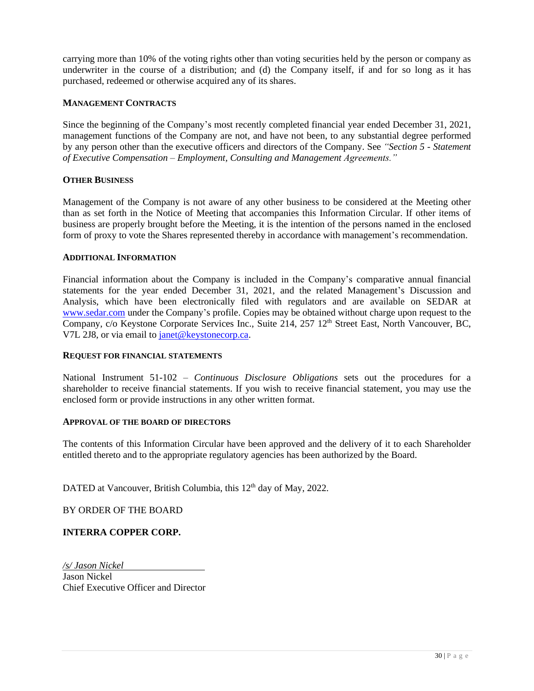carrying more than 10% of the voting rights other than voting securities held by the person or company as underwriter in the course of a distribution; and (d) the Company itself, if and for so long as it has purchased, redeemed or otherwise acquired any of its shares.

#### **MANAGEMENT CONTRACTS**

Since the beginning of the Company's most recently completed financial year ended December 31, 2021, management functions of the Company are not, and have not been, to any substantial degree performed by any person other than the executive officers and directors of the Company. See *"Section 5 - Statement of Executive Compensation – Employment, Consulting and Management Agreements."*

#### **OTHER BUSINESS**

Management of the Company is not aware of any other business to be considered at the Meeting other than as set forth in the Notice of Meeting that accompanies this Information Circular. If other items of business are properly brought before the Meeting, it is the intention of the persons named in the enclosed form of proxy to vote the Shares represented thereby in accordance with management's recommendation.

#### **ADDITIONAL INFORMATION**

Financial information about the Company is included in the Company's comparative annual financial statements for the year ended December 31, 2021, and the related Management's Discussion and Analysis, which have been electronically filed with regulators and are available on SEDAR at [www.sedar.com](http://www.sedar.com/) under the Company's profile. Copies may be obtained without charge upon request to the Company, c/o Keystone Corporate Services Inc., Suite 214, 257 12<sup>th</sup> Street East, North Vancouver, BC, V7L 2J8, or via email to [janet@keystonecorp.ca.](mailto:janet@keystonecorp.ca)

#### **REQUEST FOR FINANCIAL STATEMENTS**

National Instrument 51-102 – *Continuous Disclosure Obligations* sets out the procedures for a shareholder to receive financial statements. If you wish to receive financial statement, you may use the enclosed form or provide instructions in any other written format.

#### **APPROVAL OF THE BOARD OF DIRECTORS**

The contents of this Information Circular have been approved and the delivery of it to each Shareholder entitled thereto and to the appropriate regulatory agencies has been authorized by the Board.

DATED at Vancouver, British Columbia, this 12<sup>th</sup> day of May, 2022.

BY ORDER OF THE BOARD

# **INTERRA COPPER CORP.**

*/s/ Jason Nickel* Jason Nickel

Chief Executive Officer and Director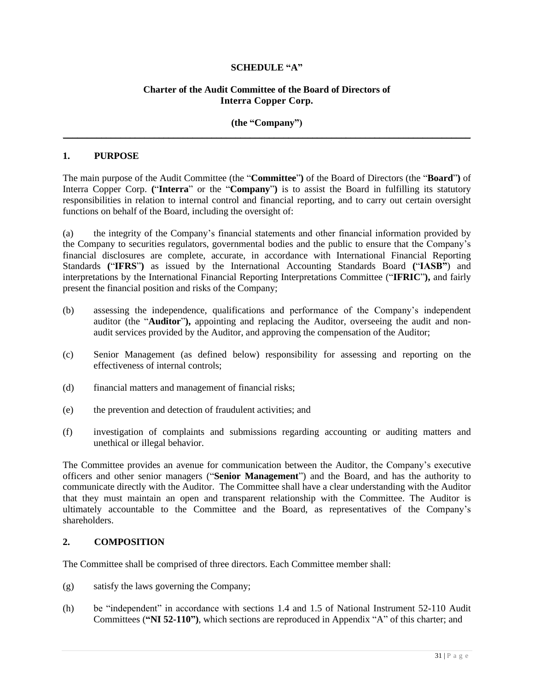# **SCHEDULE "A"**

# **Charter of the Audit Committee of the Board of Directors of Interra Copper Corp.**

#### **(the "Company")** \_\_\_\_\_\_\_\_\_\_\_\_\_\_\_\_\_\_\_\_\_\_\_\_\_\_\_\_\_\_\_\_\_\_\_\_\_\_\_\_\_\_\_\_\_\_\_\_\_\_\_\_\_\_\_\_\_\_\_\_\_\_\_\_\_\_\_\_\_\_\_\_\_\_\_\_\_\_\_\_\_\_\_\_\_

#### **1. PURPOSE**

The main purpose of the Audit Committee (the "**Committee**"**)** of the Board of Directors (the "**Board**"**)** of Interra Copper Corp. **(**"**Interra**" or the "**Company**"**)** is to assist the Board in fulfilling its statutory responsibilities in relation to internal control and financial reporting, and to carry out certain oversight functions on behalf of the Board, including the oversight of:

(a) the integrity of the Company's financial statements and other financial information provided by the Company to securities regulators, governmental bodies and the public to ensure that the Company's financial disclosures are complete, accurate, in accordance with International Financial Reporting Standards **(**"**IFRS**"**)** as issued by the International Accounting Standards Board **(**"**IASB"**) and interpretations by the International Financial Reporting Interpretations Committee ("**IFRIC**"**),** and fairly present the financial position and risks of the Company;

- (b) assessing the independence, qualifications and performance of the Company's independent auditor (the "**Auditor**"**),** appointing and replacing the Auditor, overseeing the audit and nonaudit services provided by the Auditor, and approving the compensation of the Auditor;
- (c) Senior Management (as defined below) responsibility for assessing and reporting on the effectiveness of internal controls;
- (d) financial matters and management of financial risks;
- (e) the prevention and detection of fraudulent activities; and
- (f) investigation of complaints and submissions regarding accounting or auditing matters and unethical or illegal behavior.

The Committee provides an avenue for communication between the Auditor, the Company's executive officers and other senior managers ("**Senior Management**") and the Board, and has the authority to communicate directly with the Auditor. The Committee shall have a clear understanding with the Auditor that they must maintain an open and transparent relationship with the Committee. The Auditor is ultimately accountable to the Committee and the Board, as representatives of the Company's shareholders.

#### **2. COMPOSITION**

The Committee shall be comprised of three directors. Each Committee member shall:

- (g) satisfy the laws governing the Company;
- <span id="page-31-0"></span>(h) be "independent" in accordance with sections 1.4 and 1.5 of National Instrument 52-110 Audit Committees (**"NI 52-110")**, which sections are reproduced in Appendix "A" of this charter; and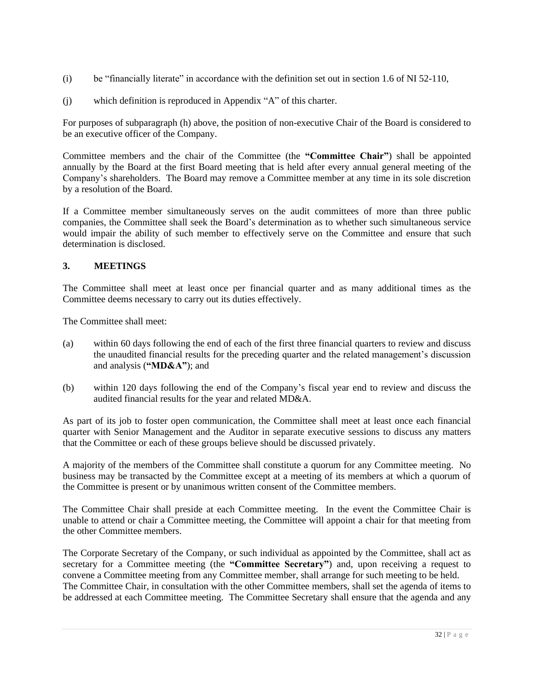- (i) be "financially literate" in accordance with the definition set out in section 1.6 of NI 52-110,
- (j) which definition is reproduced in Appendix "A" of this charter.

For purposes of subparagraph [\(h\)](#page-31-0) above, the position of non-executive Chair of the Board is considered to be an executive officer of the Company.

Committee members and the chair of the Committee (the **"Committee Chair"**) shall be appointed annually by the Board at the first Board meeting that is held after every annual general meeting of the Company's shareholders. The Board may remove a Committee member at any time in its sole discretion by a resolution of the Board.

If a Committee member simultaneously serves on the audit committees of more than three public companies, the Committee shall seek the Board's determination as to whether such simultaneous service would impair the ability of such member to effectively serve on the Committee and ensure that such determination is disclosed.

# **3. MEETINGS**

The Committee shall meet at least once per financial quarter and as many additional times as the Committee deems necessary to carry out its duties effectively.

The Committee shall meet:

- (a) within 60 days following the end of each of the first three financial quarters to review and discuss the unaudited financial results for the preceding quarter and the related management's discussion and analysis (**"MD&A"**); and
- (b) within 120 days following the end of the Company's fiscal year end to review and discuss the audited financial results for the year and related MD&A.

As part of its job to foster open communication, the Committee shall meet at least once each financial quarter with Senior Management and the Auditor in separate executive sessions to discuss any matters that the Committee or each of these groups believe should be discussed privately.

A majority of the members of the Committee shall constitute a quorum for any Committee meeting. No business may be transacted by the Committee except at a meeting of its members at which a quorum of the Committee is present or by unanimous written consent of the Committee members.

The Committee Chair shall preside at each Committee meeting. In the event the Committee Chair is unable to attend or chair a Committee meeting, the Committee will appoint a chair for that meeting from the other Committee members.

The Corporate Secretary of the Company, or such individual as appointed by the Committee, shall act as secretary for a Committee meeting (the **"Committee Secretary"**) and, upon receiving a request to convene a Committee meeting from any Committee member, shall arrange for such meeting to be held. The Committee Chair, in consultation with the other Committee members, shall set the agenda of items to be addressed at each Committee meeting. The Committee Secretary shall ensure that the agenda and any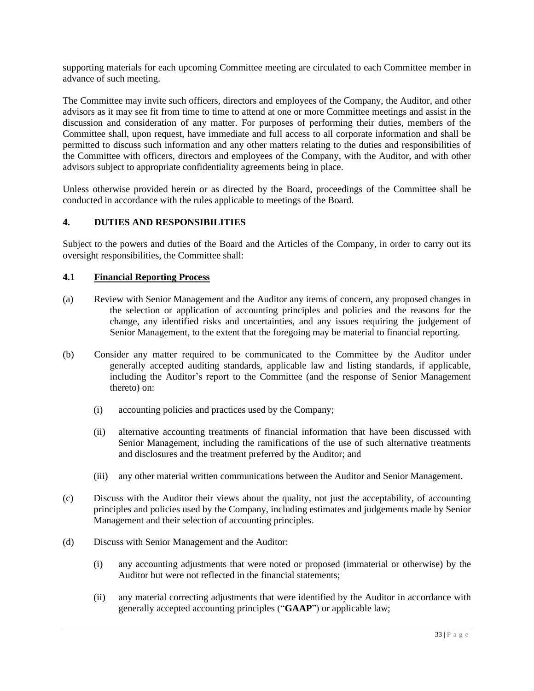supporting materials for each upcoming Committee meeting are circulated to each Committee member in advance of such meeting.

The Committee may invite such officers, directors and employees of the Company, the Auditor, and other advisors as it may see fit from time to time to attend at one or more Committee meetings and assist in the discussion and consideration of any matter. For purposes of performing their duties, members of the Committee shall, upon request, have immediate and full access to all corporate information and shall be permitted to discuss such information and any other matters relating to the duties and responsibilities of the Committee with officers, directors and employees of the Company, with the Auditor, and with other advisors subject to appropriate confidentiality agreements being in place.

Unless otherwise provided herein or as directed by the Board, proceedings of the Committee shall be conducted in accordance with the rules applicable to meetings of the Board.

# **4. DUTIES AND RESPONSIBILITIES**

Subject to the powers and duties of the Board and the Articles of the Company, in order to carry out its oversight responsibilities, the Committee shall:

#### **4.1 Financial Reporting Process**

- (a) Review with Senior Management and the Auditor any items of concern, any proposed changes in the selection or application of accounting principles and policies and the reasons for the change, any identified risks and uncertainties, and any issues requiring the judgement of Senior Management, to the extent that the foregoing may be material to financial reporting.
- (b) Consider any matter required to be communicated to the Committee by the Auditor under generally accepted auditing standards, applicable law and listing standards, if applicable, including the Auditor's report to the Committee (and the response of Senior Management thereto) on:
	- (i) accounting policies and practices used by the Company;
	- (ii) alternative accounting treatments of financial information that have been discussed with Senior Management, including the ramifications of the use of such alternative treatments and disclosures and the treatment preferred by the Auditor; and
	- (iii) any other material written communications between the Auditor and Senior Management.
- (c) Discuss with the Auditor their views about the quality, not just the acceptability, of accounting principles and policies used by the Company, including estimates and judgements made by Senior Management and their selection of accounting principles.
- (d) Discuss with Senior Management and the Auditor:
	- (i) any accounting adjustments that were noted or proposed (immaterial or otherwise) by the Auditor but were not reflected in the financial statements;
	- (ii) any material correcting adjustments that were identified by the Auditor in accordance with generally accepted accounting principles ("**GAAP**") or applicable law;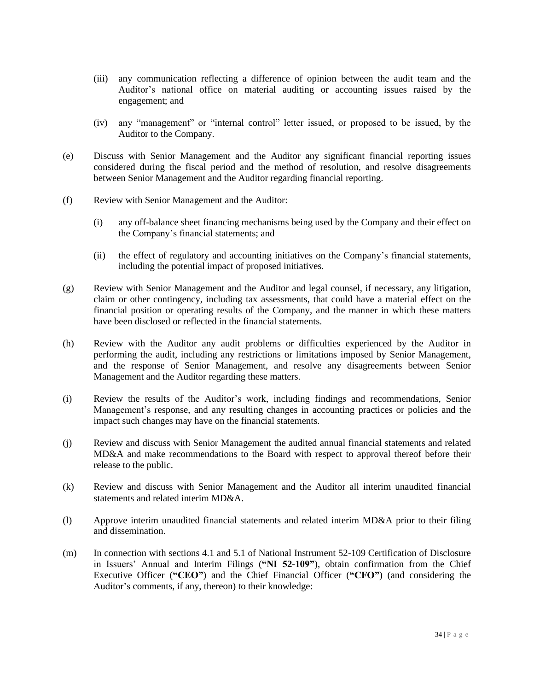- (iii) any communication reflecting a difference of opinion between the audit team and the Auditor's national office on material auditing or accounting issues raised by the engagement; and
- (iv) any "management" or "internal control" letter issued, or proposed to be issued, by the Auditor to the Company.
- (e) Discuss with Senior Management and the Auditor any significant financial reporting issues considered during the fiscal period and the method of resolution, and resolve disagreements between Senior Management and the Auditor regarding financial reporting.
- (f) Review with Senior Management and the Auditor:
	- (i) any off-balance sheet financing mechanisms being used by the Company and their effect on the Company's financial statements; and
	- (ii) the effect of regulatory and accounting initiatives on the Company's financial statements, including the potential impact of proposed initiatives.
- (g) Review with Senior Management and the Auditor and legal counsel, if necessary, any litigation, claim or other contingency, including tax assessments, that could have a material effect on the financial position or operating results of the Company, and the manner in which these matters have been disclosed or reflected in the financial statements.
- (h) Review with the Auditor any audit problems or difficulties experienced by the Auditor in performing the audit, including any restrictions or limitations imposed by Senior Management, and the response of Senior Management, and resolve any disagreements between Senior Management and the Auditor regarding these matters.
- (i) Review the results of the Auditor's work, including findings and recommendations, Senior Management's response, and any resulting changes in accounting practices or policies and the impact such changes may have on the financial statements.
- (j) Review and discuss with Senior Management the audited annual financial statements and related MD&A and make recommendations to the Board with respect to approval thereof before their release to the public.
- (k) Review and discuss with Senior Management and the Auditor all interim unaudited financial statements and related interim MD&A.
- (l) Approve interim unaudited financial statements and related interim MD&A prior to their filing and dissemination.
- (m) In connection with sections 4.1 and 5.1 of National Instrument 52-109 Certification of Disclosure in Issuers' Annual and Interim Filings (**"NI 52-109"**), obtain confirmation from the Chief Executive Officer (**"CEO"**) and the Chief Financial Officer (**"CFO"**) (and considering the Auditor's comments, if any, thereon) to their knowledge: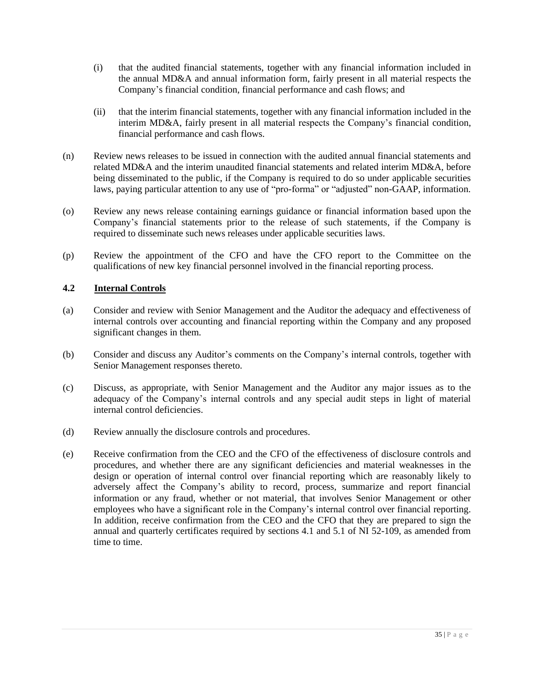- (i) that the audited financial statements, together with any financial information included in the annual MD&A and annual information form, fairly present in all material respects the Company's financial condition, financial performance and cash flows; and
- (ii) that the interim financial statements, together with any financial information included in the interim MD&A, fairly present in all material respects the Company's financial condition, financial performance and cash flows.
- (n) Review news releases to be issued in connection with the audited annual financial statements and related MD&A and the interim unaudited financial statements and related interim MD&A, before being disseminated to the public, if the Company is required to do so under applicable securities laws, paying particular attention to any use of "pro-forma" or "adjusted" non-GAAP, information.
- (o) Review any news release containing earnings guidance or financial information based upon the Company's financial statements prior to the release of such statements, if the Company is required to disseminate such news releases under applicable securities laws.
- (p) Review the appointment of the CFO and have the CFO report to the Committee on the qualifications of new key financial personnel involved in the financial reporting process.

# **4.2 Internal Controls**

- (a) Consider and review with Senior Management and the Auditor the adequacy and effectiveness of internal controls over accounting and financial reporting within the Company and any proposed significant changes in them.
- (b) Consider and discuss any Auditor's comments on the Company's internal controls, together with Senior Management responses thereto.
- (c) Discuss, as appropriate, with Senior Management and the Auditor any major issues as to the adequacy of the Company's internal controls and any special audit steps in light of material internal control deficiencies.
- (d) Review annually the disclosure controls and procedures.
- (e) Receive confirmation from the CEO and the CFO of the effectiveness of disclosure controls and procedures, and whether there are any significant deficiencies and material weaknesses in the design or operation of internal control over financial reporting which are reasonably likely to adversely affect the Company's ability to record, process, summarize and report financial information or any fraud, whether or not material, that involves Senior Management or other employees who have a significant role in the Company's internal control over financial reporting. In addition, receive confirmation from the CEO and the CFO that they are prepared to sign the annual and quarterly certificates required by sections 4.1 and 5.1 of NI 52-109, as amended from time to time.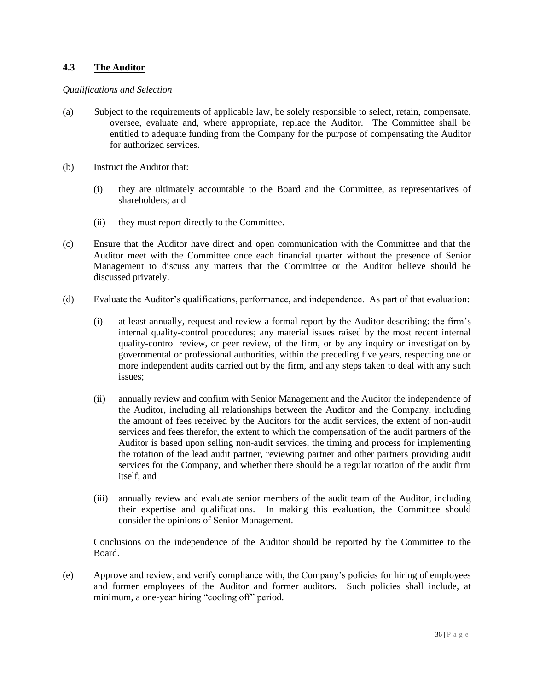# **4.3 The Auditor**

#### *Qualifications and Selection*

- (a) Subject to the requirements of applicable law, be solely responsible to select, retain, compensate, oversee, evaluate and, where appropriate, replace the Auditor. The Committee shall be entitled to adequate funding from the Company for the purpose of compensating the Auditor for authorized services.
- (b) Instruct the Auditor that:
	- (i) they are ultimately accountable to the Board and the Committee, as representatives of shareholders; and
	- (ii) they must report directly to the Committee.
- (c) Ensure that the Auditor have direct and open communication with the Committee and that the Auditor meet with the Committee once each financial quarter without the presence of Senior Management to discuss any matters that the Committee or the Auditor believe should be discussed privately.
- (d) Evaluate the Auditor's qualifications, performance, and independence. As part of that evaluation:
	- (i) at least annually, request and review a formal report by the Auditor describing: the firm's internal quality-control procedures; any material issues raised by the most recent internal quality-control review, or peer review, of the firm, or by any inquiry or investigation by governmental or professional authorities, within the preceding five years, respecting one or more independent audits carried out by the firm, and any steps taken to deal with any such issues;
	- (ii) annually review and confirm with Senior Management and the Auditor the independence of the Auditor, including all relationships between the Auditor and the Company, including the amount of fees received by the Auditors for the audit services, the extent of non-audit services and fees therefor, the extent to which the compensation of the audit partners of the Auditor is based upon selling non-audit services, the timing and process for implementing the rotation of the lead audit partner, reviewing partner and other partners providing audit services for the Company, and whether there should be a regular rotation of the audit firm itself; and
	- (iii) annually review and evaluate senior members of the audit team of the Auditor, including their expertise and qualifications. In making this evaluation, the Committee should consider the opinions of Senior Management.

Conclusions on the independence of the Auditor should be reported by the Committee to the Board.

(e) Approve and review, and verify compliance with, the Company's policies for hiring of employees and former employees of the Auditor and former auditors. Such policies shall include, at minimum, a one-year hiring "cooling off" period.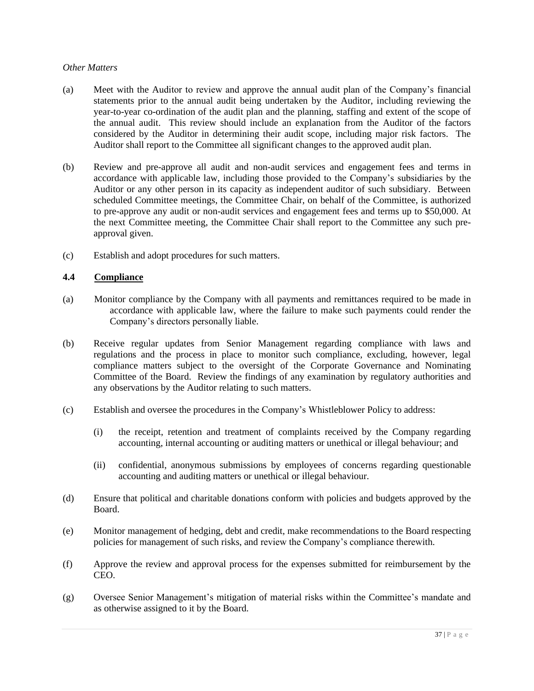# *Other Matters*

- (a) Meet with the Auditor to review and approve the annual audit plan of the Company's financial statements prior to the annual audit being undertaken by the Auditor, including reviewing the year-to-year co-ordination of the audit plan and the planning, staffing and extent of the scope of the annual audit. This review should include an explanation from the Auditor of the factors considered by the Auditor in determining their audit scope, including major risk factors. The Auditor shall report to the Committee all significant changes to the approved audit plan.
- (b) Review and pre-approve all audit and non-audit services and engagement fees and terms in accordance with applicable law, including those provided to the Company's subsidiaries by the Auditor or any other person in its capacity as independent auditor of such subsidiary. Between scheduled Committee meetings, the Committee Chair, on behalf of the Committee, is authorized to pre-approve any audit or non-audit services and engagement fees and terms up to \$50,000. At the next Committee meeting, the Committee Chair shall report to the Committee any such preapproval given.
- (c) Establish and adopt procedures for such matters.

#### **4.4 Compliance**

- (a) Monitor compliance by the Company with all payments and remittances required to be made in accordance with applicable law, where the failure to make such payments could render the Company's directors personally liable.
- (b) Receive regular updates from Senior Management regarding compliance with laws and regulations and the process in place to monitor such compliance, excluding, however, legal compliance matters subject to the oversight of the Corporate Governance and Nominating Committee of the Board. Review the findings of any examination by regulatory authorities and any observations by the Auditor relating to such matters.
- (c) Establish and oversee the procedures in the Company's Whistleblower Policy to address:
	- (i) the receipt, retention and treatment of complaints received by the Company regarding accounting, internal accounting or auditing matters or unethical or illegal behaviour; and
	- (ii) confidential, anonymous submissions by employees of concerns regarding questionable accounting and auditing matters or unethical or illegal behaviour.
- (d) Ensure that political and charitable donations conform with policies and budgets approved by the Board.
- (e) Monitor management of hedging, debt and credit, make recommendations to the Board respecting policies for management of such risks, and review the Company's compliance therewith.
- (f) Approve the review and approval process for the expenses submitted for reimbursement by the CEO.
- (g) Oversee Senior Management's mitigation of material risks within the Committee's mandate and as otherwise assigned to it by the Board.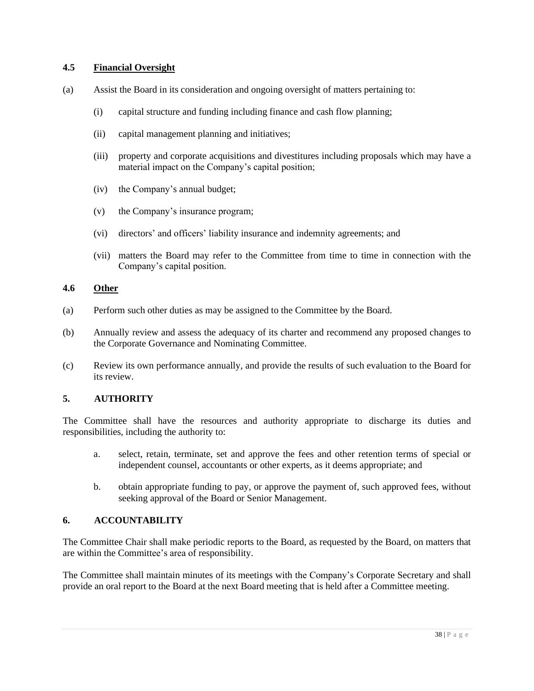# **4.5 Financial Oversight**

- (a) Assist the Board in its consideration and ongoing oversight of matters pertaining to:
	- (i) capital structure and funding including finance and cash flow planning;
	- (ii) capital management planning and initiatives;
	- (iii) property and corporate acquisitions and divestitures including proposals which may have a material impact on the Company's capital position;
	- (iv) the Company's annual budget;
	- (v) the Company's insurance program;
	- (vi) directors' and officers' liability insurance and indemnity agreements; and
	- (vii) matters the Board may refer to the Committee from time to time in connection with the Company's capital position.

# **4.6 Other**

- (a) Perform such other duties as may be assigned to the Committee by the Board.
- (b) Annually review and assess the adequacy of its charter and recommend any proposed changes to the Corporate Governance and Nominating Committee.
- (c) Review its own performance annually, and provide the results of such evaluation to the Board for its review.

# **5. AUTHORITY**

The Committee shall have the resources and authority appropriate to discharge its duties and responsibilities, including the authority to:

- a. select, retain, terminate, set and approve the fees and other retention terms of special or independent counsel, accountants or other experts, as it deems appropriate; and
- b. obtain appropriate funding to pay, or approve the payment of, such approved fees, without seeking approval of the Board or Senior Management.

# **6. ACCOUNTABILITY**

The Committee Chair shall make periodic reports to the Board, as requested by the Board, on matters that are within the Committee's area of responsibility.

The Committee shall maintain minutes of its meetings with the Company's Corporate Secretary and shall provide an oral report to the Board at the next Board meeting that is held after a Committee meeting.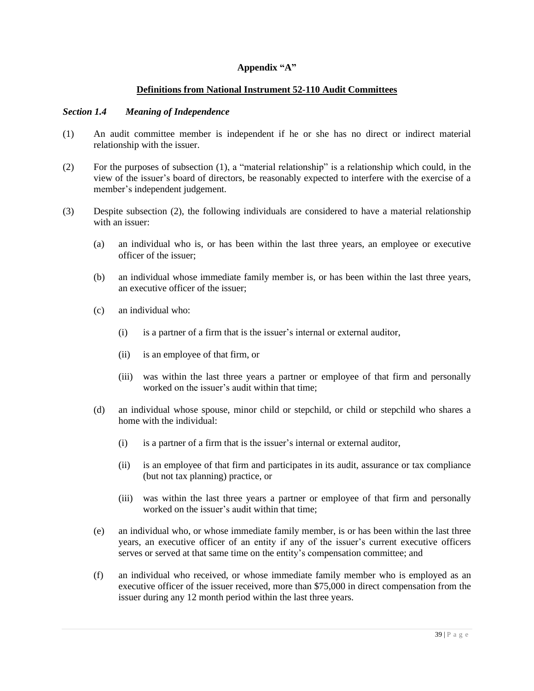# **Appendix "A"**

# **Definitions from National Instrument 52-110 Audit Committees**

#### *Section 1.4 Meaning of Independence*

- (1) An audit committee member is independent if he or she has no direct or indirect material relationship with the issuer.
- (2) For the purposes of subsection (1), a "material relationship" is a relationship which could, in the view of the issuer's board of directors, be reasonably expected to interfere with the exercise of a member's independent judgement.
- (3) Despite subsection (2), the following individuals are considered to have a material relationship with an issuer:
	- (a) an individual who is, or has been within the last three years, an employee or executive officer of the issuer;
	- (b) an individual whose immediate family member is, or has been within the last three years, an executive officer of the issuer;
	- (c) an individual who:
		- (i) is a partner of a firm that is the issuer's internal or external auditor,
		- (ii) is an employee of that firm, or
		- (iii) was within the last three years a partner or employee of that firm and personally worked on the issuer's audit within that time;
	- (d) an individual whose spouse, minor child or stepchild, or child or stepchild who shares a home with the individual:
		- (i) is a partner of a firm that is the issuer's internal or external auditor,
		- (ii) is an employee of that firm and participates in its audit, assurance or tax compliance (but not tax planning) practice, or
		- (iii) was within the last three years a partner or employee of that firm and personally worked on the issuer's audit within that time;
	- (e) an individual who, or whose immediate family member, is or has been within the last three years, an executive officer of an entity if any of the issuer's current executive officers serves or served at that same time on the entity's compensation committee; and
	- (f) an individual who received, or whose immediate family member who is employed as an executive officer of the issuer received, more than \$75,000 in direct compensation from the issuer during any 12 month period within the last three years.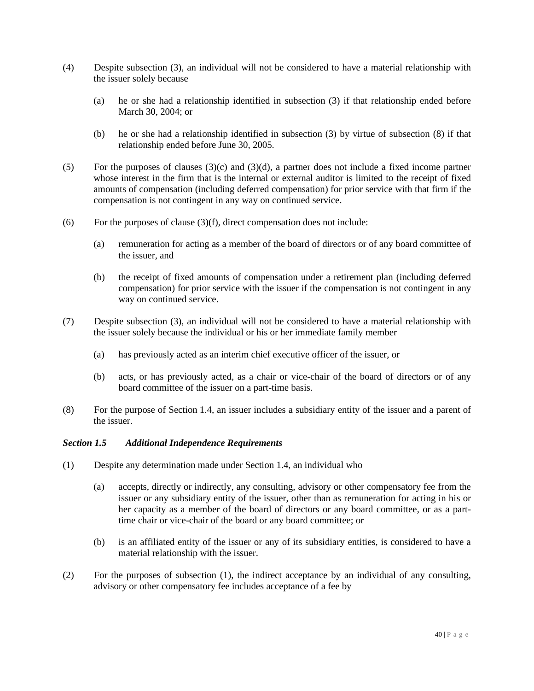- (4) Despite subsection (3), an individual will not be considered to have a material relationship with the issuer solely because
	- (a) he or she had a relationship identified in subsection (3) if that relationship ended before March 30, 2004; or
	- (b) he or she had a relationship identified in subsection (3) by virtue of subsection (8) if that relationship ended before June 30, 2005.
- (5) For the purposes of clauses (3)(c) and (3)(d), a partner does not include a fixed income partner whose interest in the firm that is the internal or external auditor is limited to the receipt of fixed amounts of compensation (including deferred compensation) for prior service with that firm if the compensation is not contingent in any way on continued service.
- (6) For the purposes of clause  $(3)(f)$ , direct compensation does not include:
	- (a) remuneration for acting as a member of the board of directors or of any board committee of the issuer, and
	- (b) the receipt of fixed amounts of compensation under a retirement plan (including deferred compensation) for prior service with the issuer if the compensation is not contingent in any way on continued service.
- (7) Despite subsection (3), an individual will not be considered to have a material relationship with the issuer solely because the individual or his or her immediate family member
	- (a) has previously acted as an interim chief executive officer of the issuer, or
	- (b) acts, or has previously acted, as a chair or vice-chair of the board of directors or of any board committee of the issuer on a part-time basis.
- (8) For the purpose of Section 1.4, an issuer includes a subsidiary entity of the issuer and a parent of the issuer.

#### *Section 1.5 Additional Independence Requirements*

- (1) Despite any determination made under Section 1.4, an individual who
	- (a) accepts, directly or indirectly, any consulting, advisory or other compensatory fee from the issuer or any subsidiary entity of the issuer, other than as remuneration for acting in his or her capacity as a member of the board of directors or any board committee, or as a parttime chair or vice-chair of the board or any board committee; or
	- (b) is an affiliated entity of the issuer or any of its subsidiary entities, is considered to have a material relationship with the issuer.
- (2) For the purposes of subsection (1), the indirect acceptance by an individual of any consulting, advisory or other compensatory fee includes acceptance of a fee by